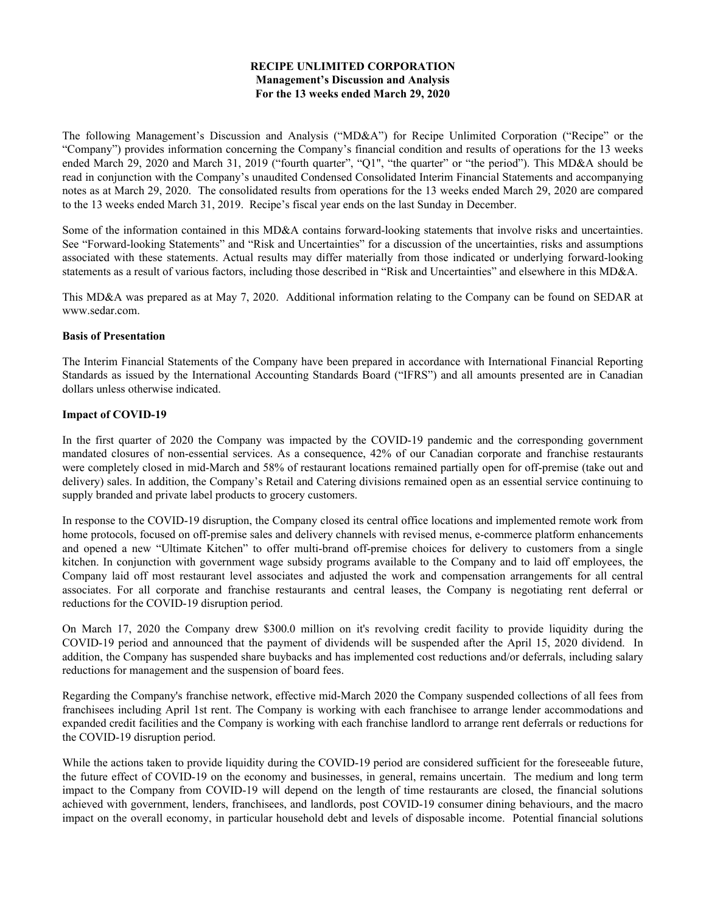# **RECIPE UNLIMITED CORPORATION Management's Discussion and Analysis For the 13 weeks ended March 29, 2020**

The following Management's Discussion and Analysis ("MD&A") for Recipe Unlimited Corporation ("Recipe" or the "Company") provides information concerning the Company's financial condition and results of operations for the 13 weeks ended March 29, 2020 and March 31, 2019 ("fourth quarter", "Q1", "the quarter" or "the period"). This MD&A should be read in conjunction with the Company's unaudited Condensed Consolidated Interim Financial Statements and accompanying notes as at March 29, 2020. The consolidated results from operations for the 13 weeks ended March 29, 2020 are compared to the 13 weeks ended March 31, 2019. Recipe's fiscal year ends on the last Sunday in December.

Some of the information contained in this MD&A contains forward-looking statements that involve risks and uncertainties. See "Forward-looking Statements" and "Risk and Uncertainties" for a discussion of the uncertainties, risks and assumptions associated with these statements. Actual results may differ materially from those indicated or underlying forward-looking statements as a result of various factors, including those described in "Risk and Uncertainties" and elsewhere in this MD&A.

This MD&A was prepared as at May 7, 2020. Additional information relating to the Company can be found on SEDAR at www.sedar.com.

# **Basis of Presentation**

The Interim Financial Statements of the Company have been prepared in accordance with International Financial Reporting Standards as issued by the International Accounting Standards Board ("IFRS") and all amounts presented are in Canadian dollars unless otherwise indicated.

### **Impact of COVID-19**

In the first quarter of 2020 the Company was impacted by the COVID-19 pandemic and the corresponding government mandated closures of non-essential services. As a consequence, 42% of our Canadian corporate and franchise restaurants were completely closed in mid-March and 58% of restaurant locations remained partially open for off-premise (take out and delivery) sales. In addition, the Company's Retail and Catering divisions remained open as an essential service continuing to supply branded and private label products to grocery customers.

In response to the COVID-19 disruption, the Company closed its central office locations and implemented remote work from home protocols, focused on off-premise sales and delivery channels with revised menus, e-commerce platform enhancements and opened a new "Ultimate Kitchen" to offer multi-brand off-premise choices for delivery to customers from a single kitchen. In conjunction with government wage subsidy programs available to the Company and to laid off employees, the Company laid off most restaurant level associates and adjusted the work and compensation arrangements for all central associates. For all corporate and franchise restaurants and central leases, the Company is negotiating rent deferral or reductions for the COVID-19 disruption period.

On March 17, 2020 the Company drew \$300.0 million on it's revolving credit facility to provide liquidity during the COVID-19 period and announced that the payment of dividends will be suspended after the April 15, 2020 dividend. In addition, the Company has suspended share buybacks and has implemented cost reductions and/or deferrals, including salary reductions for management and the suspension of board fees.

Regarding the Company's franchise network, effective mid-March 2020 the Company suspended collections of all fees from franchisees including April 1st rent. The Company is working with each franchisee to arrange lender accommodations and expanded credit facilities and the Company is working with each franchise landlord to arrange rent deferrals or reductions for the COVID-19 disruption period.

While the actions taken to provide liquidity during the COVID-19 period are considered sufficient for the foreseeable future, the future effect of COVID-19 on the economy and businesses, in general, remains uncertain. The medium and long term impact to the Company from COVID-19 will depend on the length of time restaurants are closed, the financial solutions achieved with government, lenders, franchisees, and landlords, post COVID-19 consumer dining behaviours, and the macro impact on the overall economy, in particular household debt and levels of disposable income. Potential financial solutions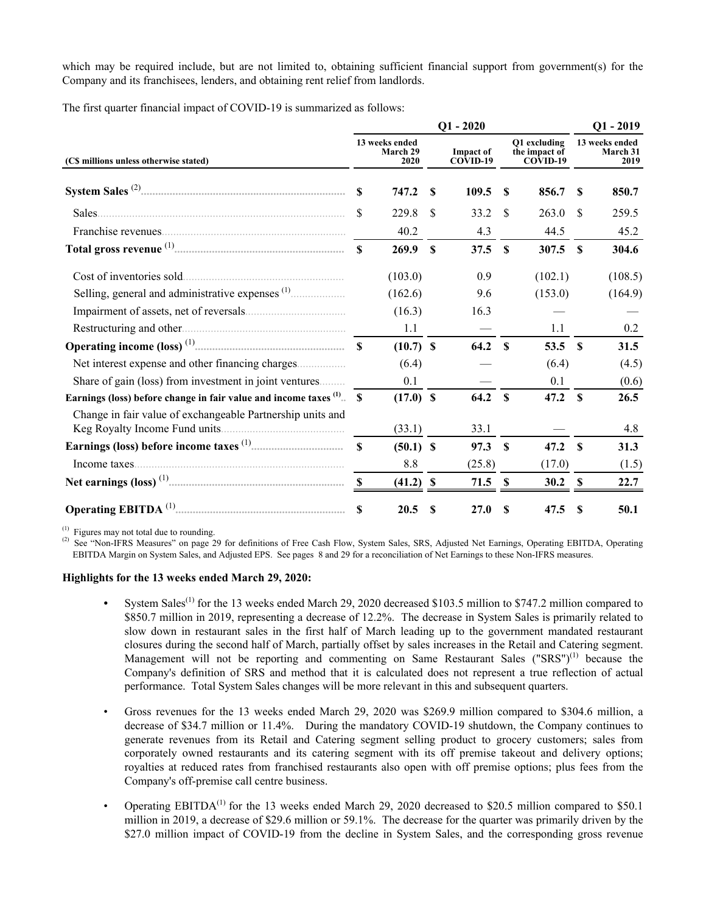which may be required include, but are not limited to, obtaining sufficient financial support from government(s) for the Company and its franchisees, lenders, and obtaining rent relief from landlords.

The first quarter financial impact of COVID-19 is summarized as follows:

|                                                                      |              |                                    |              | $Q1 - 2020$                  |                           |                                           |              | $Q1 - 2019$                               |
|----------------------------------------------------------------------|--------------|------------------------------------|--------------|------------------------------|---------------------------|-------------------------------------------|--------------|-------------------------------------------|
| (C\$ millions unless otherwise stated)                               |              | 13 weeks ended<br>March 29<br>2020 |              | <b>Impact of</b><br>COVID-19 |                           | O1 excluding<br>the impact of<br>COVID-19 |              | 13 weeks ended<br><b>March 31</b><br>2019 |
|                                                                      | \$           | 747.2                              | $\mathbf{s}$ | 109.5                        | S                         | 856.7                                     | -S           | 850.7                                     |
| Sales                                                                | \$           | 229.8                              | \$           | 33.2                         | -S                        | 263.0                                     | -S           | 259.5                                     |
|                                                                      |              | 40.2                               |              | 4.3                          |                           | 44.5                                      |              | 45.2                                      |
|                                                                      | $\mathbf{s}$ | 269.9                              | $\mathbf{s}$ | 37.5                         | <b>S</b>                  | 307.5                                     | $\mathbf{s}$ | 304.6                                     |
| Cost of inventories sold.                                            |              | (103.0)                            |              | 0.9                          |                           | (102.1)                                   |              | (108.5)                                   |
|                                                                      |              | (162.6)                            |              | 9.6                          |                           | (153.0)                                   |              | (164.9)                                   |
|                                                                      |              | (16.3)                             |              | 16.3                         |                           |                                           |              |                                           |
|                                                                      |              | 1.1                                |              |                              |                           | 1.1                                       |              | 0.2                                       |
|                                                                      |              | $(10.7)$ \$                        |              | 64.2 \$                      |                           | 53.5                                      | $\mathbf{s}$ | 31.5                                      |
|                                                                      |              | (6.4)                              |              |                              |                           | (6.4)                                     |              | (4.5)                                     |
| Share of gain (loss) from investment in joint ventures               |              | 0.1                                |              |                              |                           | 0.1                                       |              | (0.6)                                     |
| Earnings (loss) before change in fair value and income taxes (1). \$ |              | $(17.0)$ \$                        |              | 64.2                         | - \$                      | 47.2                                      | <b>S</b>     | 26.5                                      |
| Change in fair value of exchangeable Partnership units and           |              | (33.1)                             |              | 33.1                         |                           |                                           |              | 4.8                                       |
|                                                                      | $\mathbf{s}$ | $(50.1)$ \$                        |              | 97.3                         | $\boldsymbol{\mathsf{S}}$ | 47.2                                      | $\mathbf s$  | 31.3                                      |
| Income taxes.                                                        |              | 8.8                                |              | (25.8)                       |                           | (17.0)                                    |              | (1.5)                                     |
|                                                                      | <b>S</b>     | $(41.2)$ \$                        |              | $71.5$ \$                    |                           | 30.2                                      | -S           | 22.7                                      |
|                                                                      | $\mathbf{s}$ | 20.5                               | S            | <b>27.0</b>                  | S                         | 47.5                                      | -S           | 50.1                                      |

 $^{(1)}$  Figures may not total due to rounding.

<sup>(2)</sup> See "Non-IFRS Measures" on page 29 for definitions of Free Cash Flow, System Sales, SRS, Adjusted Net Earnings, Operating EBITDA, Operating EBITDA Margin on System Sales, and Adjusted EPS. See pages 8 and 29 for a reconciliation of Net Earnings to these Non-IFRS measures.

#### **Highlights for the 13 weeks ended March 29, 2020:**

- System Sales<sup>(1)</sup> for the 13 weeks ended March 29, 2020 decreased \$103.5 million to \$747.2 million compared to \$850.7 million in 2019, representing a decrease of 12.2%. The decrease in System Sales is primarily related to slow down in restaurant sales in the first half of March leading up to the government mandated restaurant closures during the second half of March, partially offset by sales increases in the Retail and Catering segment. Management will not be reporting and commenting on Same Restaurant Sales ("SRS") $^{(1)}$  because the Company's definition of SRS and method that it is calculated does not represent a true reflection of actual performance. Total System Sales changes will be more relevant in this and subsequent quarters.
- Gross revenues for the 13 weeks ended March 29, 2020 was \$269.9 million compared to \$304.6 million, a decrease of \$34.7 million or 11.4%. During the mandatory COVID-19 shutdown, the Company continues to generate revenues from its Retail and Catering segment selling product to grocery customers; sales from corporately owned restaurants and its catering segment with its off premise takeout and delivery options; royalties at reduced rates from franchised restaurants also open with off premise options; plus fees from the Company's off-premise call centre business.
- Operating EBITDA<sup>(1)</sup> for the 13 weeks ended March 29, 2020 decreased to \$20.5 million compared to \$50.1 million in 2019, a decrease of \$29.6 million or 59.1%. The decrease for the quarter was primarily driven by the \$27.0 million impact of COVID-19 from the decline in System Sales, and the corresponding gross revenue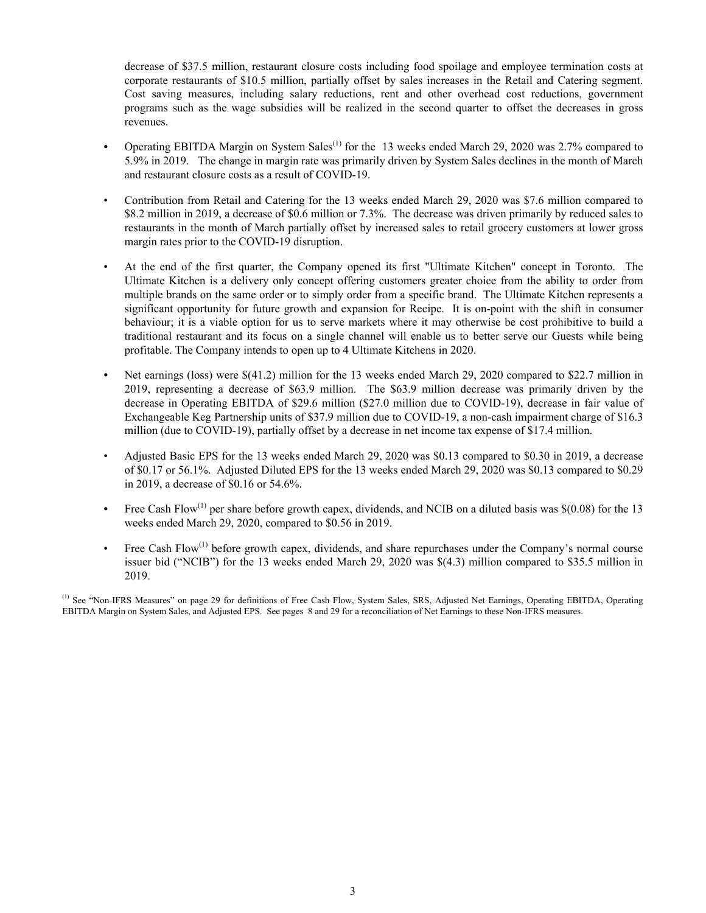decrease of \$37.5 million, restaurant closure costs including food spoilage and employee termination costs at corporate restaurants of \$10.5 million, partially offset by sales increases in the Retail and Catering segment. Cost saving measures, including salary reductions, rent and other overhead cost reductions, government programs such as the wage subsidies will be realized in the second quarter to offset the decreases in gross revenues.

- Operating EBITDA Margin on System Sales<sup>(1)</sup> for the 13 weeks ended March 29, 2020 was 2.7% compared to 5.9% in 2019. The change in margin rate was primarily driven by System Sales declines in the month of March and restaurant closure costs as a result of COVID-19.
- Contribution from Retail and Catering for the 13 weeks ended March 29, 2020 was \$7.6 million compared to \$8.2 million in 2019, a decrease of \$0.6 million or 7.3%. The decrease was driven primarily by reduced sales to restaurants in the month of March partially offset by increased sales to retail grocery customers at lower gross margin rates prior to the COVID-19 disruption.
- At the end of the first quarter, the Company opened its first "Ultimate Kitchen" concept in Toronto. The Ultimate Kitchen is a delivery only concept offering customers greater choice from the ability to order from multiple brands on the same order or to simply order from a specific brand. The Ultimate Kitchen represents a significant opportunity for future growth and expansion for Recipe. It is on-point with the shift in consumer behaviour; it is a viable option for us to serve markets where it may otherwise be cost prohibitive to build a traditional restaurant and its focus on a single channel will enable us to better serve our Guests while being profitable. The Company intends to open up to 4 Ultimate Kitchens in 2020.
- *•* Net earnings (loss) were \$(41.2) million for the 13 weeks ended March 29, 2020 compared to \$22.7 million in 2019, representing a decrease of \$63.9 million. The \$63.9 million decrease was primarily driven by the decrease in Operating EBITDA of \$29.6 million (\$27.0 million due to COVID-19), decrease in fair value of Exchangeable Keg Partnership units of \$37.9 million due to COVID-19, a non-cash impairment charge of \$16.3 million (due to COVID-19), partially offset by a decrease in net income tax expense of \$17.4 million.
- Adjusted Basic EPS for the 13 weeks ended March 29, 2020 was \$0.13 compared to \$0.30 in 2019, a decrease of \$0.17 or 56.1%. Adjusted Diluted EPS for the 13 weeks ended March 29, 2020 was \$0.13 compared to \$0.29 in 2019, a decrease of \$0.16 or 54.6%.
- Free Cash Flow<sup>(1)</sup> per share before growth capex, dividends, and NCIB on a diluted basis was \$(0.08) for the 13 weeks ended March 29, 2020, compared to \$0.56 in 2019.
- Free Cash Flow<sup>(1)</sup> before growth capex, dividends, and share repurchases under the Company's normal course issuer bid ("NCIB") for the 13 weeks ended March 29, 2020 was \$(4.3) million compared to \$35.5 million in 2019.

<sup>(1)</sup> See "Non-IFRS Measures" on page 29 for definitions of Free Cash Flow, System Sales, SRS, Adjusted Net Earnings, Operating EBITDA, Operating EBITDA Margin on System Sales, and Adjusted EPS. See pages 8 and 29 for a reconciliation of Net Earnings to these Non-IFRS measures.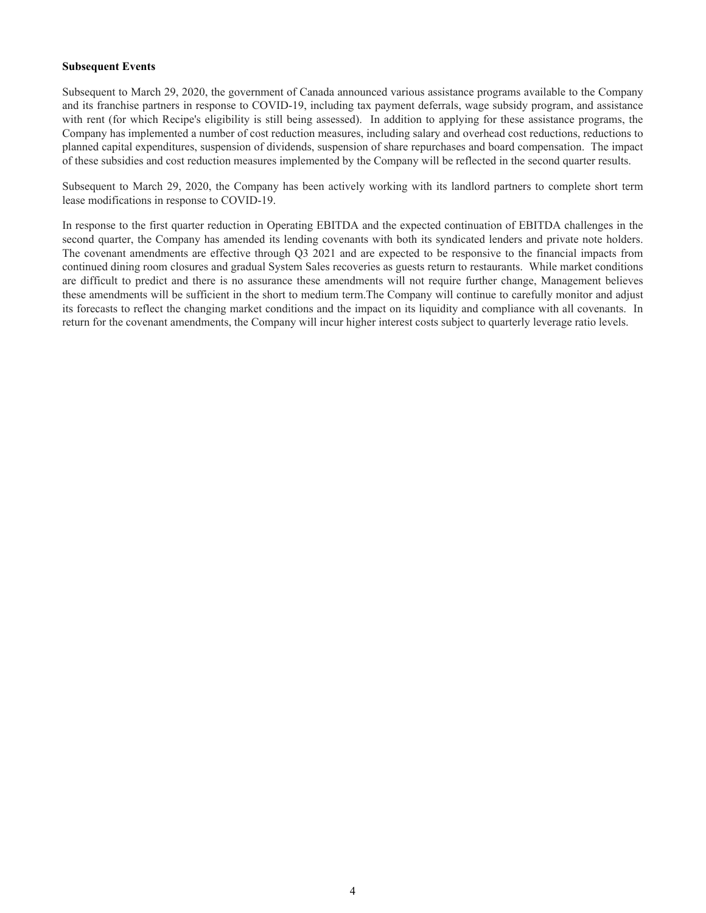#### **Subsequent Events**

Subsequent to March 29, 2020, the government of Canada announced various assistance programs available to the Company and its franchise partners in response to COVID-19, including tax payment deferrals, wage subsidy program, and assistance with rent (for which Recipe's eligibility is still being assessed). In addition to applying for these assistance programs, the Company has implemented a number of cost reduction measures, including salary and overhead cost reductions, reductions to planned capital expenditures, suspension of dividends, suspension of share repurchases and board compensation. The impact of these subsidies and cost reduction measures implemented by the Company will be reflected in the second quarter results.

Subsequent to March 29, 2020, the Company has been actively working with its landlord partners to complete short term lease modifications in response to COVID-19.

In response to the first quarter reduction in Operating EBITDA and the expected continuation of EBITDA challenges in the second quarter, the Company has amended its lending covenants with both its syndicated lenders and private note holders. The covenant amendments are effective through Q3 2021 and are expected to be responsive to the financial impacts from continued dining room closures and gradual System Sales recoveries as guests return to restaurants. While market conditions are difficult to predict and there is no assurance these amendments will not require further change, Management believes these amendments will be sufficient in the short to medium term.The Company will continue to carefully monitor and adjust its forecasts to reflect the changing market conditions and the impact on its liquidity and compliance with all covenants. In return for the covenant amendments, the Company will incur higher interest costs subject to quarterly leverage ratio levels.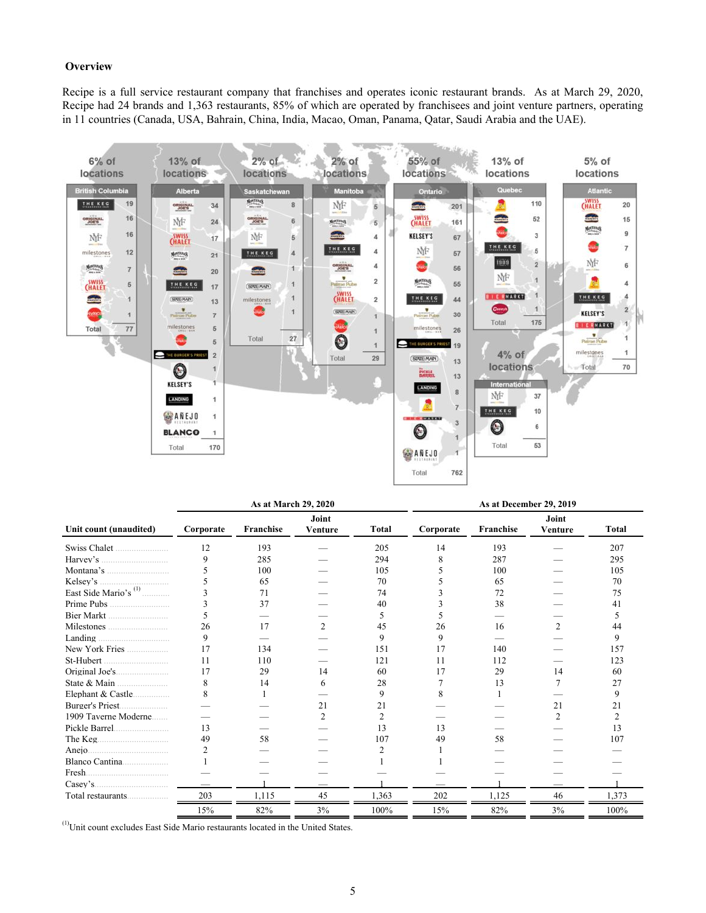#### **Overview**

Recipe is a full service restaurant company that franchises and operates iconic restaurant brands. As at March 29, 2020, Recipe had 24 brands and 1,363 restaurants, 85% of which are operated by franchisees and joint venture partners, operating in 11 countries (Canada, USA, Bahrain, China, India, Macao, Oman, Panama, Qatar, Saudi Arabia and the UAE).



|                                  |                | As at March 29, 2020 |                  |                |           |           |                         |              |
|----------------------------------|----------------|----------------------|------------------|----------------|-----------|-----------|-------------------------|--------------|
| Unit count (unaudited)           | Corporate      | Franchise            | Joint<br>Venture | <b>Total</b>   | Corporate | Franchise | Joint<br><b>Venture</b> | <b>Total</b> |
| Swiss Chalet                     | 12             | 193                  |                  | 205            | 14        | 193       |                         | 207          |
|                                  | 9              | 285                  |                  | 294            | 8         | 287       |                         | 295          |
| Montana's $\ldots$               |                | 100                  |                  | 105            |           | 100       |                         | 105          |
| Kelsey's                         |                | 65                   |                  | 70             |           | 65        |                         | 70           |
| East Side Mario's <sup>(1)</sup> |                | 71                   |                  | 74             |           | 72        |                         | 75           |
| Prime Pubs                       |                | 37                   |                  | 40             |           | 38        |                         | 41           |
| Bier Markt                       |                |                      |                  | 5              |           |           |                         |              |
|                                  | 26             | 17                   | $\mathfrak{D}$   | 45             | 26        | 16        |                         | 44           |
| Landing                          | 9              |                      |                  | 9              | 9         |           |                         | 9            |
| New York Fries                   | 17             | 134                  |                  | 151            | 17        | 140       |                         | 157          |
|                                  | 11             | 110                  |                  | 121            | 11        | 112       |                         | 123          |
|                                  | 17             | 29                   | 14               | 60             | 17        | 29        | 14                      | 60           |
| State $\&$ Main                  | 8              | 14                   | 6                | 28             |           | 13        |                         | 27           |
| Elephant & Castle                | 8              |                      |                  | 9              |           |           |                         | 9            |
|                                  |                |                      | 21               | 21             |           |           | 21                      | 21           |
| 1909 Taverne Moderne             |                |                      | $\mathfrak{D}$   | $\overline{2}$ |           |           | 2                       | 2            |
| Pickle Barrel                    | 13             |                      |                  | 13             | 13        |           |                         | 13           |
| The Keg.                         | 49             | 58                   |                  | 107            | 49        | 58        |                         | 107          |
|                                  | $\overline{2}$ |                      |                  |                |           |           |                         |              |
|                                  |                |                      |                  |                |           |           |                         |              |
| Fresh.                           |                |                      |                  |                |           |           |                         |              |
|                                  |                |                      |                  |                |           |           |                         |              |
| Total restaurants                | 203            | 1,115                | 45               | 1,363          | 202       | 1,125     | 46                      | 1,373        |
|                                  | 15%            | 82%                  | 3%               | 100%           | 15%       | 82%       | 3%                      | 100%         |

(1) Unit count excludes East Side Mario restaurants located in the United States.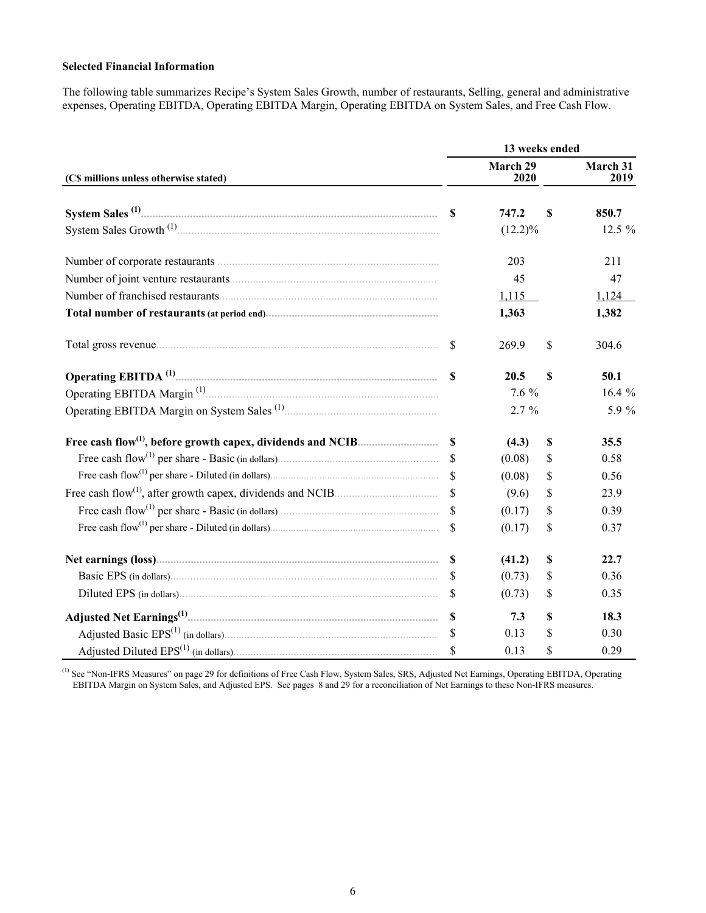### **Selected Financial Information**

The following table summarizes Recipe's System Sales Growth, number of restaurants, Selling, general and administrative expenses, Operating EBITDA, Operating EBITDA Margin, Operating EBITDA on System Sales, and Free Cash Flow.

|                                        |               | 13 weeks ended   |             |                  |
|----------------------------------------|---------------|------------------|-------------|------------------|
| (C\$ millions unless otherwise stated) |               | March 29<br>2020 |             | March 31<br>2019 |
|                                        |               | 747.2            | $\mathbf S$ | 850.7            |
|                                        |               | $(12.2)\%$       |             | 12.5 %           |
|                                        |               | 203              |             | 211              |
|                                        |               | 45               |             | 47               |
|                                        |               | 1,115            |             | 1,124            |
|                                        |               | 1,363            |             | 1,382            |
|                                        | $\mathbf S$   | 269.9            | \$          | 304.6            |
|                                        |               | 20.5             | $\mathbf S$ | 50.1             |
|                                        |               | 7.6 %            |             | 16.4 $%$         |
|                                        |               | $2.7 \%$         |             | 5.9 %            |
|                                        |               | (4.3)            | \$          | 35.5             |
|                                        |               | (0.08)           | \$          | 0.58             |
|                                        | $\mathcal{S}$ | (0.08)           | \$          | 0.56             |
|                                        | $\mathcal{S}$ | (9.6)            | \$          | 23.9             |
|                                        |               | (0.17)           | \$          | 0.39             |
|                                        |               | (0.17)           | \$          | 0.37             |
|                                        |               | (41.2)           | \$          | 22.7             |
|                                        | <sup>\$</sup> | (0.73)           | \$          | 0.36             |
|                                        | <sup>S</sup>  | (0.73)           | \$          | 0.35             |
|                                        | $\mathbf S$   | 7.3              | \$          | 18.3             |
|                                        |               | 0.13             | \$          | 0.30             |
|                                        |               | 0.13             | \$          | 0.29             |

 $<sup>(1)</sup>$  See "Non-IFRS Measures" on page 29 for definitions of Free Cash Flow, System Sales, SRS, Adjusted Net Earnings, Operating EBITDA, Operating</sup> EBITDA Margin on System Sales, and Adjusted EPS. See pages 8 and 29 for a reconciliation of Net Earnings to these Non-IFRS measures.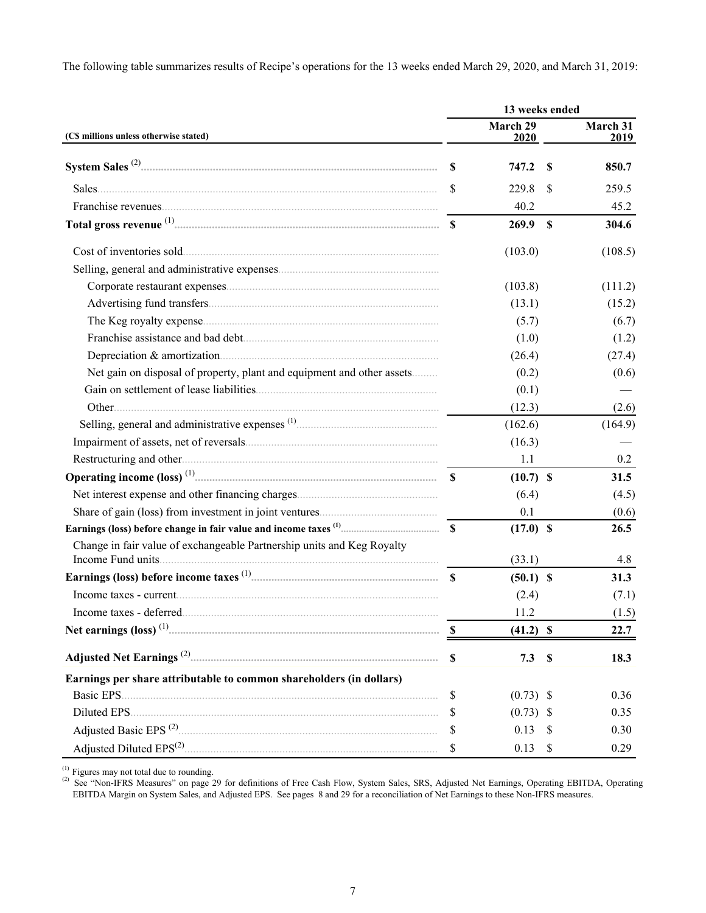The following table summarizes results of Recipe's operations for the 13 weeks ended March 29, 2020, and March 31, 2019:

|                                                                                                                                                                                                                                         |             | 13 weeks ended   |               |                  |
|-----------------------------------------------------------------------------------------------------------------------------------------------------------------------------------------------------------------------------------------|-------------|------------------|---------------|------------------|
| (CS millions unless otherwise stated)                                                                                                                                                                                                   |             | March 29<br>2020 |               | March 31<br>2019 |
|                                                                                                                                                                                                                                         | <b>S</b>    | 747.2            | <sup>\$</sup> | 850.7            |
|                                                                                                                                                                                                                                         | \$          | 229.8            | S             | 259.5            |
|                                                                                                                                                                                                                                         |             | 40.2             |               | 45.2             |
|                                                                                                                                                                                                                                         |             | 269.9            | $\mathbf{s}$  | 304.6            |
|                                                                                                                                                                                                                                         |             | (103.0)          |               | (108.5)          |
|                                                                                                                                                                                                                                         |             |                  |               |                  |
|                                                                                                                                                                                                                                         |             | (103.8)          |               | (111.2)          |
|                                                                                                                                                                                                                                         |             | (13.1)           |               | (15.2)           |
|                                                                                                                                                                                                                                         |             | (5.7)            |               | (6.7)            |
|                                                                                                                                                                                                                                         |             | (1.0)            |               | (1.2)            |
|                                                                                                                                                                                                                                         |             | (26.4)           |               | (27.4)           |
| Net gain on disposal of property, plant and equipment and other assets                                                                                                                                                                  |             | (0.2)            |               | (0.6)            |
|                                                                                                                                                                                                                                         |             | (0.1)            |               |                  |
|                                                                                                                                                                                                                                         |             | (12.3)           |               | (2.6)            |
|                                                                                                                                                                                                                                         |             | (162.6)          |               | (164.9)          |
|                                                                                                                                                                                                                                         |             | (16.3)           |               |                  |
|                                                                                                                                                                                                                                         |             | 1.1              |               | 0.2              |
|                                                                                                                                                                                                                                         |             | $(10.7)$ \$      |               | 31.5             |
|                                                                                                                                                                                                                                         |             | (6.4)            |               | (4.5)            |
|                                                                                                                                                                                                                                         |             | 0.1              |               | (0.6)            |
|                                                                                                                                                                                                                                         |             | $(17.0)$ \$      |               | 26.5             |
| Change in fair value of exchangeable Partnership units and Keg Royalty<br>Income Fund units.                                                                                                                                            |             | (33.1)           |               | 4.8              |
|                                                                                                                                                                                                                                         |             |                  |               | 31.3             |
|                                                                                                                                                                                                                                         |             | $(50.1)$ \$      |               |                  |
|                                                                                                                                                                                                                                         |             | (2.4)<br>11.2    |               | (7.1)            |
|                                                                                                                                                                                                                                         |             |                  |               | (1.5)            |
|                                                                                                                                                                                                                                         | -S          | $(41.2)$ \$      |               | 22.7             |
|                                                                                                                                                                                                                                         | $\mathbf S$ | 7.3              | $\mathbb S$   | 18.3             |
| Earnings per share attributable to common shareholders (in dollars)                                                                                                                                                                     |             |                  |               |                  |
| Basic EPS.                                                                                                                                                                                                                              | \$          | $(0.73)$ \$      |               | 0.36             |
| Diluted EPS.                                                                                                                                                                                                                            | \$          | $(0.73)$ \$      |               | 0.35             |
| Adjusted Basic EPS <sup>(2)</sup> 2006 and 2015 and 2016 and 2016 and 2016 and 2016 and 2016 and 2016 and 2016 and 2016 and 2016 and 2016 and 2016 and 2016 and 2016 and 2016 and 2016 and 2016 and 2016 and 2016 and 2016 and 2016 and | \$          | 0.13             | <sup>8</sup>  | 0.30             |
|                                                                                                                                                                                                                                         | \$          | 0.13             | \$            | 0.29             |

<sup>(1)</sup> Figures may not total due to rounding.<br><sup>(2)</sup> See "Non-IFRS Measures" on page 29 for definitions of Free Cash Flow, System Sales, SRS, Adjusted Net Earnings, Operating EBITDA, Operating EBITDA Margin on System Sales, and Adjusted EPS. See pages 8 and 29 for a reconciliation of Net Earnings to these Non-IFRS measures.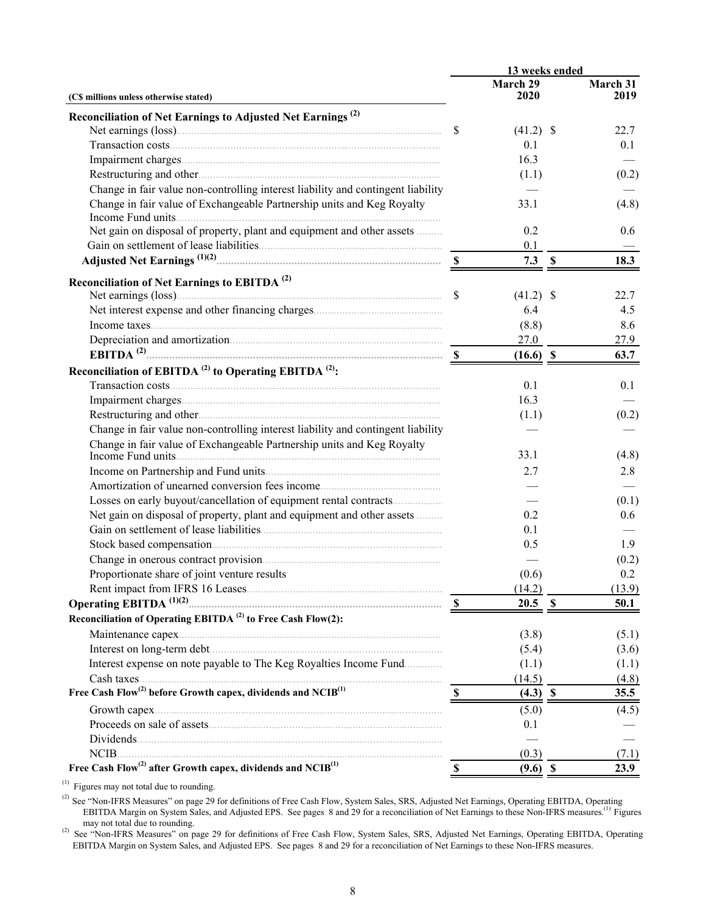|                                                                                      |                           | 13 weeks ended   |                  |
|--------------------------------------------------------------------------------------|---------------------------|------------------|------------------|
| (C\$ millions unless otherwise stated)                                               |                           | March 29<br>2020 | March 31<br>2019 |
| Reconciliation of Net Earnings to Adjusted Net Earnings <sup>(2)</sup>               |                           |                  |                  |
|                                                                                      | $\mathbb{S}$              | $(41.2)$ \$      | 22.7             |
|                                                                                      |                           | 0.1              | 0.1              |
|                                                                                      |                           | 16.3             |                  |
|                                                                                      |                           | (1.1)            | (0.2)            |
| Change in fair value non-controlling interest liability and contingent liability     |                           |                  |                  |
| Change in fair value of Exchangeable Partnership units and Keg Royalty               |                           | 33.1             | (4.8)            |
| Income Fund units                                                                    |                           |                  |                  |
| Net gain on disposal of property, plant and equipment and other assets               |                           | 0.2              | 0.6              |
|                                                                                      |                           | 0.1              |                  |
|                                                                                      |                           | $7.3$ \$         | 18.3             |
| Reconciliation of Net Earnings to EBITDA <sup>(2)</sup>                              |                           |                  |                  |
|                                                                                      | $\mathbb{S}$              | $(41.2)$ \$      | 22.7             |
|                                                                                      |                           | 6.4              | 4.5              |
|                                                                                      |                           | (8.8)            | 8.6              |
|                                                                                      |                           | 27.0             | 27.9             |
|                                                                                      |                           | $(16.6)$ \$      | 63.7             |
| Reconciliation of EBITDA <sup>(2)</sup> to Operating EBITDA <sup>(2)</sup> :         |                           |                  |                  |
|                                                                                      |                           | 0.1              | 0.1              |
|                                                                                      |                           | 16.3             |                  |
|                                                                                      |                           | (1.1)            | (0.2)            |
| Change in fair value non-controlling interest liability and contingent liability     |                           |                  |                  |
| Change in fair value of Exchangeable Partnership units and Keg Royalty               |                           |                  |                  |
| Income Fund units                                                                    |                           | 33.1             | (4.8)            |
|                                                                                      |                           | 2.7              | 2.8              |
|                                                                                      |                           |                  |                  |
| Losses on early buyout/cancellation of equipment rental contracts                    |                           |                  | (0.1)            |
| Net gain on disposal of property, plant and equipment and other assets               |                           | 0.2              | 0.6              |
|                                                                                      |                           | 0.1              |                  |
|                                                                                      |                           | 0.5              | 1.9              |
|                                                                                      |                           |                  | (0.2)            |
| Proportionate share of joint venture results                                         |                           | (0.6)            | 0.2              |
|                                                                                      |                           | (14.2)           | (13.9)           |
| Operating EBITDA <sup>(1)(2)</sup>                                                   |                           | $20.5$ \$        | 50.1             |
| Reconciliation of Operating EBITDA <sup>(2)</sup> to Free Cash Flow(2):              |                           |                  |                  |
|                                                                                      |                           | (3.8)            | (5.1)            |
|                                                                                      |                           | (5.4)            | (3.6)            |
| Interest expense on note payable to The Keg Royalties Income Fund                    |                           | (1.1)            | (1.1)            |
|                                                                                      |                           | (14.5)           | (4.8)            |
| Free Cash Flow <sup>(2)</sup> before Growth capex, dividends and NCIB <sup>(1)</sup> |                           | $(4.3)$ \$       | 35.5             |
|                                                                                      |                           | (5.0)            | (4.5)            |
|                                                                                      |                           | 0.1              |                  |
| Dividends                                                                            |                           |                  |                  |
| $NCIB$ .                                                                             |                           | (0.3)            | (7.1)            |
| Free Cash Flow <sup>(2)</sup> after Growth capex, dividends and NCIB <sup>(1)</sup>  | $\boldsymbol{\mathsf{S}}$ | $(9.6)$ \$       | 23.9             |

 $^{(1)}$  Figures may not total due to rounding.

<sup>(2)</sup> See "Non-IFRS Measures" on page 29 for definitions of Free Cash Flow, System Sales, SRS, Adjusted Net Earnings, Operating EBITDA, Operating<br>EBITDA Margin on System Sales, and Adjusted EPS. See pages 8 and 29 for a re

may not total due to rounding.<br>
<sup>(2)</sup> See "Non-IFRS Measures" on page 29 for definitions of Free Cash Flow, System Sales, SRS, Adjusted Net Earnings, Operating EBITDA, Operating EBITDA Margin on System Sales, and Adjusted EPS. See pages 8 and 29 for a reconciliation of Net Earnings to these Non-IFRS measures.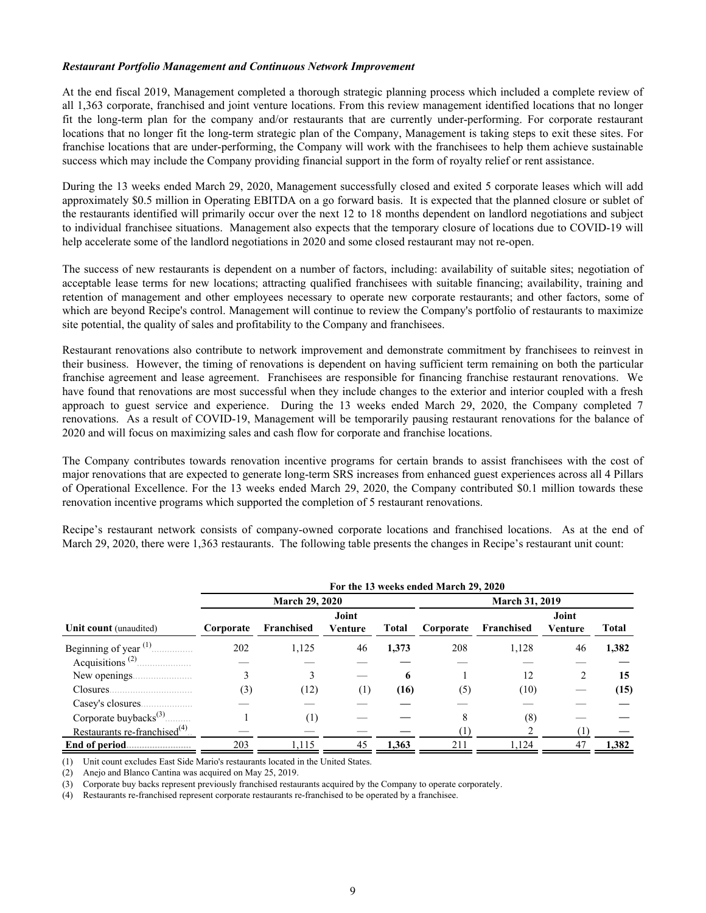#### *Restaurant Portfolio Management and Continuous Network Improvement*

At the end fiscal 2019, Management completed a thorough strategic planning process which included a complete review of all 1,363 corporate, franchised and joint venture locations. From this review management identified locations that no longer fit the long-term plan for the company and/or restaurants that are currently under-performing. For corporate restaurant locations that no longer fit the long-term strategic plan of the Company, Management is taking steps to exit these sites. For franchise locations that are under-performing, the Company will work with the franchisees to help them achieve sustainable success which may include the Company providing financial support in the form of royalty relief or rent assistance.

During the 13 weeks ended March 29, 2020, Management successfully closed and exited 5 corporate leases which will add approximately \$0.5 million in Operating EBITDA on a go forward basis. It is expected that the planned closure or sublet of the restaurants identified will primarily occur over the next 12 to 18 months dependent on landlord negotiations and subject to individual franchisee situations. Management also expects that the temporary closure of locations due to COVID-19 will help accelerate some of the landlord negotiations in 2020 and some closed restaurant may not re-open.

The success of new restaurants is dependent on a number of factors, including: availability of suitable sites; negotiation of acceptable lease terms for new locations; attracting qualified franchisees with suitable financing; availability, training and retention of management and other employees necessary to operate new corporate restaurants; and other factors, some of which are beyond Recipe's control. Management will continue to review the Company's portfolio of restaurants to maximize site potential, the quality of sales and profitability to the Company and franchisees.

Restaurant renovations also contribute to network improvement and demonstrate commitment by franchisees to reinvest in their business. However, the timing of renovations is dependent on having sufficient term remaining on both the particular franchise agreement and lease agreement. Franchisees are responsible for financing franchise restaurant renovations. We have found that renovations are most successful when they include changes to the exterior and interior coupled with a fresh approach to guest service and experience. During the 13 weeks ended March 29, 2020, the Company completed 7 renovations. As a result of COVID-19, Management will be temporarily pausing restaurant renovations for the balance of 2020 and will focus on maximizing sales and cash flow for corporate and franchise locations.

The Company contributes towards renovation incentive programs for certain brands to assist franchisees with the cost of major renovations that are expected to generate long-term SRS increases from enhanced guest experiences across all 4 Pillars of Operational Excellence. For the 13 weeks ended March 29, 2020, the Company contributed \$0.1 million towards these renovation incentive programs which supported the completion of 5 restaurant renovations.

Recipe's restaurant network consists of company-owned corporate locations and franchised locations. As at the end of March 29, 2020, there were 1,363 restaurants. The following table presents the changes in Recipe's restaurant unit count:

|                                            |           |                       |                  |                       | For the 13 weeks ended March 29, 2020 |            |                  |       |  |  |  |
|--------------------------------------------|-----------|-----------------------|------------------|-----------------------|---------------------------------------|------------|------------------|-------|--|--|--|
|                                            |           | <b>March 29, 2020</b> |                  | <b>March 31, 2019</b> |                                       |            |                  |       |  |  |  |
| Unit count (unaudited)                     | Corporate | Franchised            | Joint<br>Venture | <b>Total</b>          | Corporate                             | Franchised | Joint<br>Venture | Total |  |  |  |
|                                            | 202       | 1,125                 | 46               | 1,373                 | 208                                   | 1,128      | 46               | 1,382 |  |  |  |
| Acquisitions <sup>(2)</sup>                |           |                       |                  |                       |                                       |            |                  |       |  |  |  |
| New openings                               |           | 3                     |                  | 6                     |                                       | 12         |                  | 15    |  |  |  |
| Closures.                                  | (3)       | (12)                  | ( 1 )            | (16)                  | (5)                                   | (10)       |                  | (15)  |  |  |  |
|                                            |           |                       |                  |                       |                                       |            |                  |       |  |  |  |
| Corporate buybacks $^{(3)}$                |           | (1)                   |                  |                       | 8                                     | (8)        |                  |       |  |  |  |
| Restaurants re-franchised <sup>(4)</sup> . |           |                       |                  |                       |                                       |            |                  |       |  |  |  |
|                                            | 203       | 1.115                 | 45               | 1,363                 | 211                                   | 1,124      | 47               | 1,382 |  |  |  |

(1) Unit count excludes East Side Mario's restaurants located in the United States.

(2) Anejo and Blanco Cantina was acquired on May 25, 2019.

(3) Corporate buy backs represent previously franchised restaurants acquired by the Company to operate corporately.

(4) Restaurants re-franchised represent corporate restaurants re-franchised to be operated by a franchisee.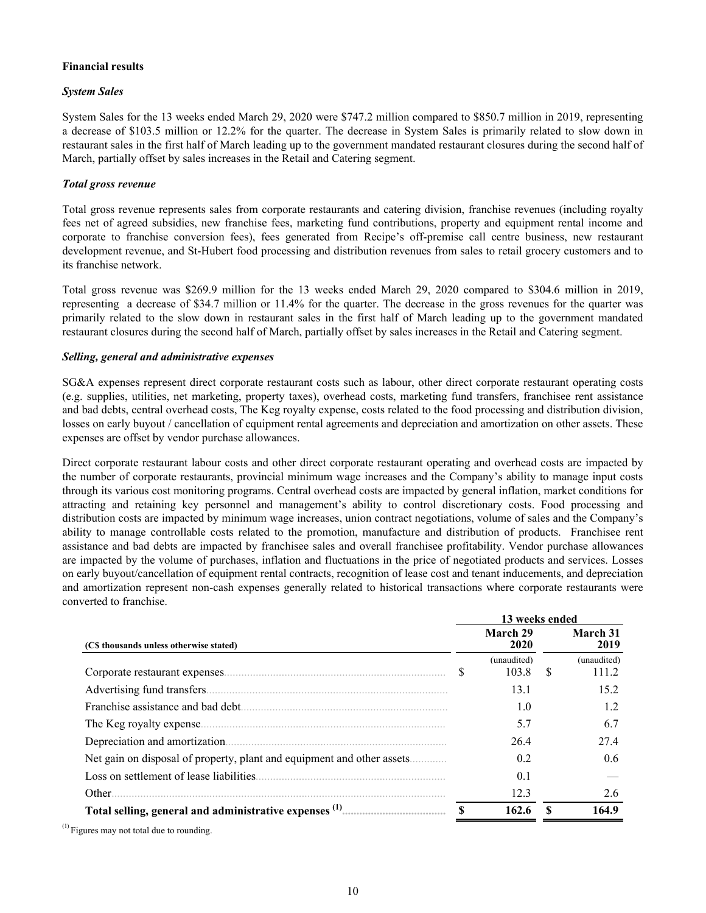# **Financial results**

# *System Sales*

System Sales for the 13 weeks ended March 29, 2020 were \$747.2 million compared to \$850.7 million in 2019, representing a decrease of \$103.5 million or 12.2% for the quarter. The decrease in System Sales is primarily related to slow down in restaurant sales in the first half of March leading up to the government mandated restaurant closures during the second half of March, partially offset by sales increases in the Retail and Catering segment.

### *Total gross revenue*

Total gross revenue represents sales from corporate restaurants and catering division, franchise revenues (including royalty fees net of agreed subsidies, new franchise fees, marketing fund contributions, property and equipment rental income and corporate to franchise conversion fees), fees generated from Recipe's off-premise call centre business, new restaurant development revenue, and St-Hubert food processing and distribution revenues from sales to retail grocery customers and to its franchise network.

Total gross revenue was \$269.9 million for the 13 weeks ended March 29, 2020 compared to \$304.6 million in 2019, representing a decrease of \$34.7 million or 11.4% for the quarter. The decrease in the gross revenues for the quarter was primarily related to the slow down in restaurant sales in the first half of March leading up to the government mandated restaurant closures during the second half of March, partially offset by sales increases in the Retail and Catering segment.

### *Selling, general and administrative expenses*

SG&A expenses represent direct corporate restaurant costs such as labour, other direct corporate restaurant operating costs (e.g. supplies, utilities, net marketing, property taxes), overhead costs, marketing fund transfers, franchisee rent assistance and bad debts, central overhead costs, The Keg royalty expense, costs related to the food processing and distribution division, losses on early buyout / cancellation of equipment rental agreements and depreciation and amortization on other assets. These expenses are offset by vendor purchase allowances.

Direct corporate restaurant labour costs and other direct corporate restaurant operating and overhead costs are impacted by the number of corporate restaurants, provincial minimum wage increases and the Company's ability to manage input costs through its various cost monitoring programs. Central overhead costs are impacted by general inflation, market conditions for attracting and retaining key personnel and management's ability to control discretionary costs. Food processing and distribution costs are impacted by minimum wage increases, union contract negotiations, volume of sales and the Company's ability to manage controllable costs related to the promotion, manufacture and distribution of products. Franchisee rent assistance and bad debts are impacted by franchisee sales and overall franchisee profitability. Vendor purchase allowances are impacted by the volume of purchases, inflation and fluctuations in the price of negotiated products and services. Losses on early buyout/cancellation of equipment rental contracts, recognition of lease cost and tenant inducements, and depreciation and amortization represent non-cash expenses generally related to historical transactions where corporate restaurants were converted to franchise.

| March 29<br>March 31<br>2020<br>2019<br>(C\$ thousands unless otherwise stated)<br>(unaudited)<br>(unaudited)<br>S<br>103.8<br>S<br>111.2<br>15.2<br>13.1<br>1.2<br>1.0<br>5.7<br>6.7<br>274<br>Depreciation and amortization.<br>26.4<br>Net gain on disposal of property, plant and equipment and other assets<br>0.6<br>0.2<br>0.1<br>Other.<br>12.3<br>2.6<br>\$<br>162.6<br>164.9 |  | 13 weeks ended |  |
|----------------------------------------------------------------------------------------------------------------------------------------------------------------------------------------------------------------------------------------------------------------------------------------------------------------------------------------------------------------------------------------|--|----------------|--|
|                                                                                                                                                                                                                                                                                                                                                                                        |  |                |  |
|                                                                                                                                                                                                                                                                                                                                                                                        |  |                |  |
|                                                                                                                                                                                                                                                                                                                                                                                        |  |                |  |
|                                                                                                                                                                                                                                                                                                                                                                                        |  |                |  |
|                                                                                                                                                                                                                                                                                                                                                                                        |  |                |  |
|                                                                                                                                                                                                                                                                                                                                                                                        |  |                |  |
|                                                                                                                                                                                                                                                                                                                                                                                        |  |                |  |
|                                                                                                                                                                                                                                                                                                                                                                                        |  |                |  |
|                                                                                                                                                                                                                                                                                                                                                                                        |  |                |  |
|                                                                                                                                                                                                                                                                                                                                                                                        |  |                |  |
|                                                                                                                                                                                                                                                                                                                                                                                        |  |                |  |

 $<sup>(1)</sup>$  Figures may not total due to rounding.</sup>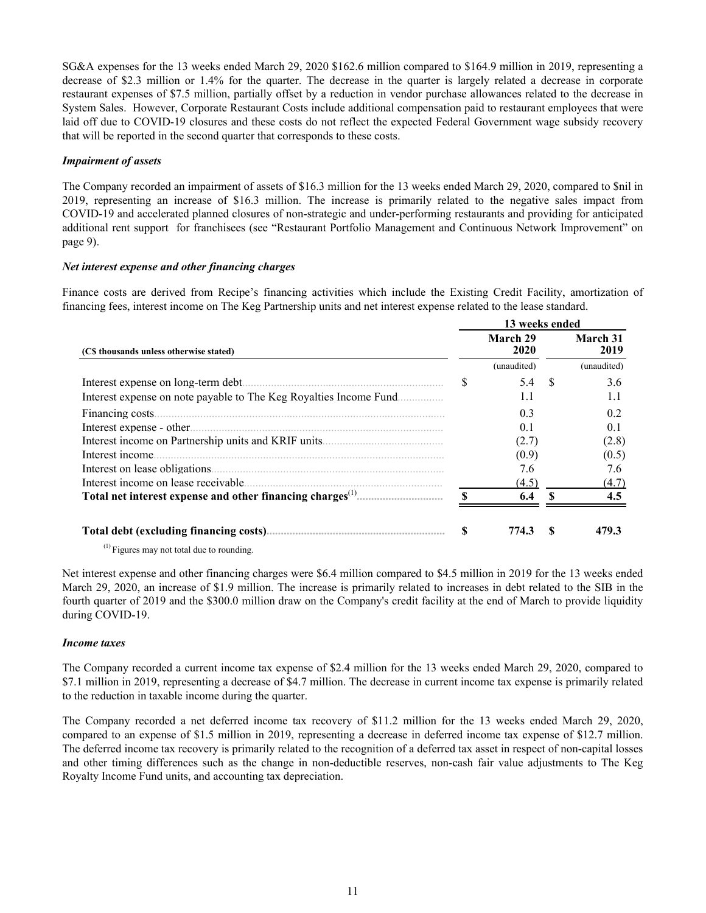SG&A expenses for the 13 weeks ended March 29, 2020 \$162.6 million compared to \$164.9 million in 2019, representing a decrease of \$2.3 million or 1.4% for the quarter. The decrease in the quarter is largely related a decrease in corporate restaurant expenses of \$7.5 million, partially offset by a reduction in vendor purchase allowances related to the decrease in System Sales. However, Corporate Restaurant Costs include additional compensation paid to restaurant employees that were laid off due to COVID-19 closures and these costs do not reflect the expected Federal Government wage subsidy recovery that will be reported in the second quarter that corresponds to these costs.

### *Impairment of assets*

The Company recorded an impairment of assets of \$16.3 million for the 13 weeks ended March 29, 2020, compared to \$nil in 2019, representing an increase of \$16.3 million. The increase is primarily related to the negative sales impact from COVID-19 and accelerated planned closures of non-strategic and under-performing restaurants and providing for anticipated additional rent support for franchisees (see "Restaurant Portfolio Management and Continuous Network Improvement" on page 9).

### *Net interest expense and other financing charges*

Finance costs are derived from Recipe's financing activities which include the Existing Credit Facility, amortization of financing fees, interest income on The Keg Partnership units and net interest expense related to the lease standard.

|                                                                    |     | 13 weeks ended   |   |                  |
|--------------------------------------------------------------------|-----|------------------|---|------------------|
| (C\$ thousands unless otherwise stated)                            |     | March 29<br>2020 |   | March 31<br>2019 |
|                                                                    |     | (unaudited)      |   | (unaudited)      |
| Interest expense on long-term debt.                                | S   | 5.4              | S | 3.6              |
| Interest expense on note payable to The Keg Royalties Income Fund. |     | 1.1              |   | 1.1              |
|                                                                    |     | 0.3              |   | 0.2              |
| Interest expense - other.                                          |     | 0.1              |   | 0.1              |
|                                                                    |     | (2.7)            |   | (2.8)            |
| Interest income.                                                   |     | (0.9)            |   | (0.5)            |
|                                                                    |     | 7.6              |   | 7.6              |
| Interest income on lease receivable.                               |     | (4.5)            |   | (4.7)            |
|                                                                    | €   | 6.4              |   | 4.5              |
|                                                                    | \$. | 774.3            |   | 479.3            |

 $<sup>(1)</sup>$  Figures may not total due to rounding.</sup>

Net interest expense and other financing charges were \$6.4 million compared to \$4.5 million in 2019 for the 13 weeks ended March 29, 2020, an increase of \$1.9 million. The increase is primarily related to increases in debt related to the SIB in the fourth quarter of 2019 and the \$300.0 million draw on the Company's credit facility at the end of March to provide liquidity during COVID-19.

#### *Income taxes*

The Company recorded a current income tax expense of \$2.4 million for the 13 weeks ended March 29, 2020, compared to \$7.1 million in 2019, representing a decrease of \$4.7 million. The decrease in current income tax expense is primarily related to the reduction in taxable income during the quarter.

The Company recorded a net deferred income tax recovery of \$11.2 million for the 13 weeks ended March 29, 2020, compared to an expense of \$1.5 million in 2019, representing a decrease in deferred income tax expense of \$12.7 million. The deferred income tax recovery is primarily related to the recognition of a deferred tax asset in respect of non-capital losses and other timing differences such as the change in non-deductible reserves, non-cash fair value adjustments to The Keg Royalty Income Fund units, and accounting tax depreciation.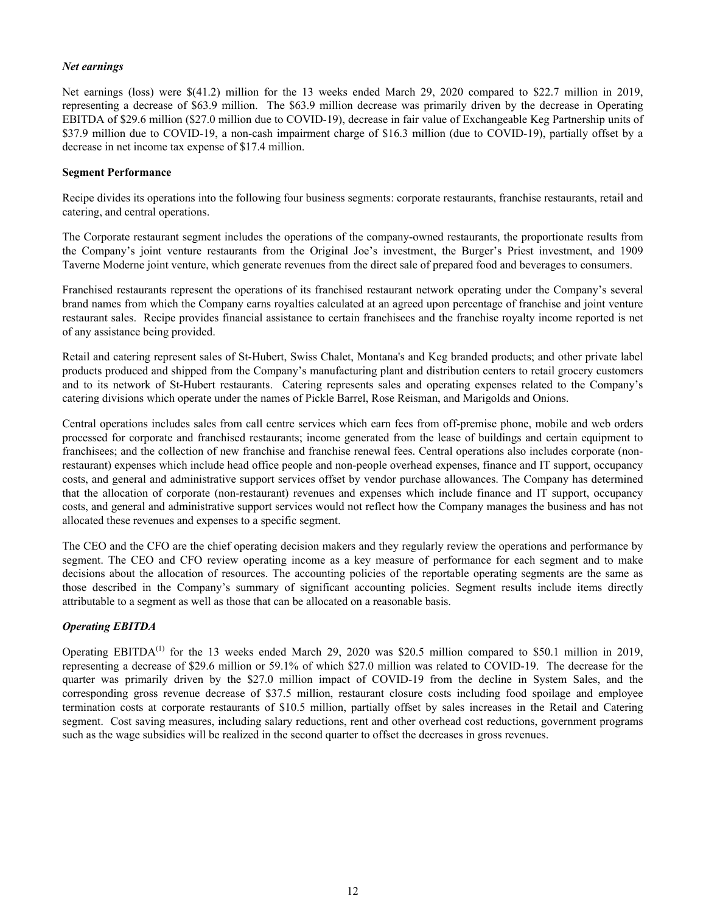### *Net earnings*

Net earnings (loss) were \$(41.2) million for the 13 weeks ended March 29, 2020 compared to \$22.7 million in 2019, representing a decrease of \$63.9 million. The \$63.9 million decrease was primarily driven by the decrease in Operating EBITDA of \$29.6 million (\$27.0 million due to COVID-19), decrease in fair value of Exchangeable Keg Partnership units of \$37.9 million due to COVID-19, a non-cash impairment charge of \$16.3 million (due to COVID-19), partially offset by a decrease in net income tax expense of \$17.4 million.

#### **Segment Performance**

Recipe divides its operations into the following four business segments: corporate restaurants, franchise restaurants, retail and catering, and central operations.

The Corporate restaurant segment includes the operations of the company-owned restaurants, the proportionate results from the Company's joint venture restaurants from the Original Joe's investment, the Burger's Priest investment, and 1909 Taverne Moderne joint venture, which generate revenues from the direct sale of prepared food and beverages to consumers.

Franchised restaurants represent the operations of its franchised restaurant network operating under the Company's several brand names from which the Company earns royalties calculated at an agreed upon percentage of franchise and joint venture restaurant sales. Recipe provides financial assistance to certain franchisees and the franchise royalty income reported is net of any assistance being provided.

Retail and catering represent sales of St-Hubert, Swiss Chalet, Montana's and Keg branded products; and other private label products produced and shipped from the Company's manufacturing plant and distribution centers to retail grocery customers and to its network of St-Hubert restaurants. Catering represents sales and operating expenses related to the Company's catering divisions which operate under the names of Pickle Barrel, Rose Reisman, and Marigolds and Onions.

Central operations includes sales from call centre services which earn fees from off-premise phone, mobile and web orders processed for corporate and franchised restaurants; income generated from the lease of buildings and certain equipment to franchisees; and the collection of new franchise and franchise renewal fees. Central operations also includes corporate (nonrestaurant) expenses which include head office people and non-people overhead expenses, finance and IT support, occupancy costs, and general and administrative support services offset by vendor purchase allowances. The Company has determined that the allocation of corporate (non-restaurant) revenues and expenses which include finance and IT support, occupancy costs, and general and administrative support services would not reflect how the Company manages the business and has not allocated these revenues and expenses to a specific segment.

The CEO and the CFO are the chief operating decision makers and they regularly review the operations and performance by segment. The CEO and CFO review operating income as a key measure of performance for each segment and to make decisions about the allocation of resources. The accounting policies of the reportable operating segments are the same as those described in the Company's summary of significant accounting policies. Segment results include items directly attributable to a segment as well as those that can be allocated on a reasonable basis.

# *Operating EBITDA*

Operating EBITDA<sup>(1)</sup> for the 13 weeks ended March 29, 2020 was \$20.5 million compared to \$50.1 million in 2019, representing a decrease of \$29.6 million or 59.1% of which \$27.0 million was related to COVID-19. The decrease for the quarter was primarily driven by the \$27.0 million impact of COVID-19 from the decline in System Sales, and the corresponding gross revenue decrease of \$37.5 million, restaurant closure costs including food spoilage and employee termination costs at corporate restaurants of \$10.5 million, partially offset by sales increases in the Retail and Catering segment. Cost saving measures, including salary reductions, rent and other overhead cost reductions, government programs such as the wage subsidies will be realized in the second quarter to offset the decreases in gross revenues.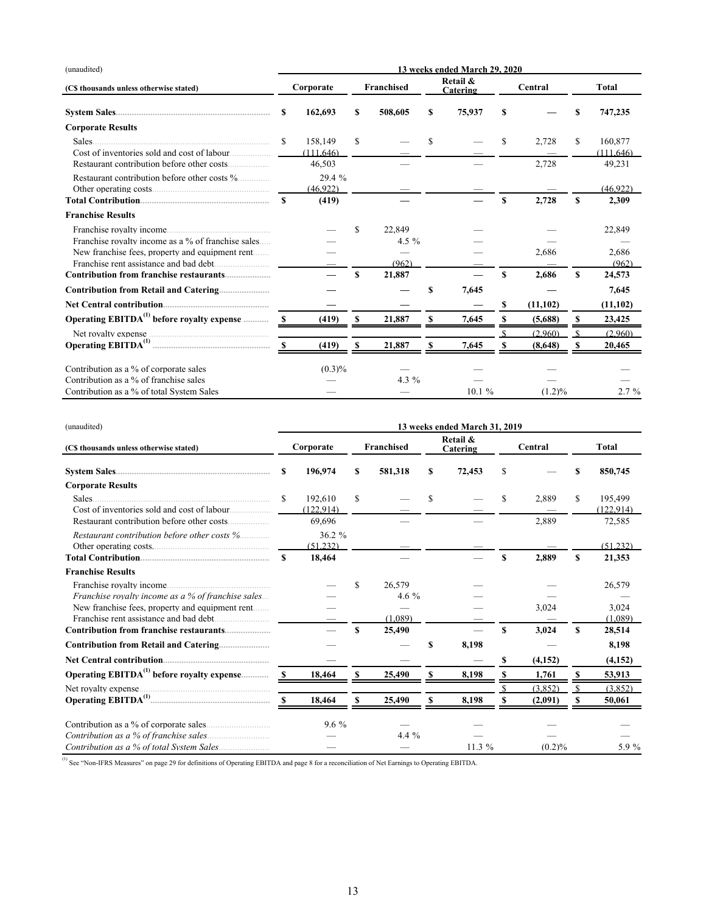| (unaudited)                                            | 13 weeks ended March 29, 2020 |           |    |            |    |                      |     |           |   |              |  |
|--------------------------------------------------------|-------------------------------|-----------|----|------------|----|----------------------|-----|-----------|---|--------------|--|
| (C\$ thousands unless otherwise stated)                |                               | Corporate |    | Franchised |    | Retail &<br>Catering |     | Central   |   | <b>Total</b> |  |
|                                                        | S                             | 162,693   |    | 508,605    | S  | 75,937               | S   |           |   | 747,235      |  |
| <b>Corporate Results</b>                               |                               |           |    |            |    |                      |     |           |   |              |  |
| Sales.                                                 | \$.                           | 158.149   | S  |            | S  |                      | \$. | 2.728     | S | 160,877      |  |
| Cost of inventories sold and cost of labour            |                               | (111.646) |    |            |    |                      |     |           |   | (111.646)    |  |
| Restaurant contribution before other costs             |                               | 46,503    |    |            |    |                      |     | 2,728     |   | 49,231       |  |
| Restaurant contribution before other costs %           |                               | 29.4 %    |    |            |    |                      |     |           |   |              |  |
| Other operating costs                                  |                               | (46.922)  |    |            |    |                      |     |           |   | (46.922)     |  |
|                                                        | S                             | (419)     |    |            |    |                      | S   | 2,728     | S | 2,309        |  |
| <b>Franchise Results</b>                               |                               |           |    |            |    |                      |     |           |   |              |  |
|                                                        |                               |           | S  | 22.849     |    |                      |     |           |   | 22,849       |  |
| Franchise royalty income as a % of franchise sales     |                               |           |    | 4.5 $%$    |    |                      |     |           |   |              |  |
| New franchise fees, property and equipment rent        |                               |           |    |            |    |                      |     | 2.686     |   | 2.686        |  |
|                                                        |                               |           |    | (962)      |    |                      |     |           |   | (962)        |  |
| Contribution from franchise restaurants                |                               |           | \$ | 21,887     |    |                      | S   | 2,686     | S | 24,573       |  |
|                                                        |                               |           |    |            | \$ | 7,645                |     |           |   | 7,645        |  |
|                                                        |                               |           |    |            |    |                      | S   | (11, 102) |   | (11, 102)    |  |
| Operating EBITDA <sup>(1)</sup> before royalty expense |                               | (419)     | \$ | 21,887     | S  | 7,645                |     | (5,688)   | S | 23,425       |  |
|                                                        |                               |           |    |            |    |                      |     | (2.960)   |   | (2.960)      |  |
|                                                        | -8                            | (419)     | \$ | 21,887     | \$ | 7,645                |     | (8,648)   | S | 20,465       |  |
| Contribution as a % of corporate sales                 |                               | (0.3)%    |    |            |    |                      |     |           |   |              |  |
| Contribution as a % of franchise sales                 |                               |           |    | 4.3 $%$    |    |                      |     |           |   |              |  |
| Contribution as a % of total System Sales              |                               |           |    |            |    | 10.1%                |     | (1.2)%    |   | $2.7\%$      |  |

| (unaudited)                                                            | 13 weeks ended March 31, 2019 |                      |    |                   |    |                      |          |         |   |                      |  |  |
|------------------------------------------------------------------------|-------------------------------|----------------------|----|-------------------|----|----------------------|----------|---------|---|----------------------|--|--|
| (C\$ thousands unless otherwise stated)                                |                               | Corporate            |    | <b>Franchised</b> |    | Retail &<br>Catering |          | Central |   | <b>Total</b>         |  |  |
|                                                                        |                               | S<br>196,974         |    | 581,318           | S  | 72,453               |          |         |   | 850,745              |  |  |
| <b>Corporate Results</b>                                               |                               |                      |    |                   |    |                      |          |         |   |                      |  |  |
| Sales.<br>Cost of inventories sold and cost of labour                  | \$                            | 192.610<br>(122.914) | S. |                   | S. |                      | \$.      | 2.889   | S | 195.499<br>(122.914) |  |  |
|                                                                        |                               | 69.696               |    |                   |    |                      |          | 2,889   |   | 72,585               |  |  |
| Restaurant contribution before other costs %<br>Other operating costs. |                               | 36.2%<br>(51.232)    |    |                   |    |                      |          |         |   | (51232)              |  |  |
|                                                                        | \$.                           | 18,464               |    |                   |    |                      | S        | 2.889   | S | 21,353               |  |  |
| <b>Franchise Results</b>                                               |                               |                      |    |                   |    |                      |          |         |   |                      |  |  |
|                                                                        |                               |                      | S  | 26.579            |    |                      |          |         |   | 26.579               |  |  |
| <i>Franchise royalty income as a % of franchise sales</i>              |                               |                      |    | 4.6 $%$           |    |                      |          |         |   |                      |  |  |
| New franchise fees, property and equipment rent                        |                               |                      |    | (1.089)           |    |                      |          | 3,024   |   | 3.024                |  |  |
| Franchise rent assistance and had debt                                 |                               |                      | \$ | 25,490            |    |                      | <b>S</b> | 3,024   | S | (1.089)<br>28,514    |  |  |
|                                                                        |                               |                      |    |                   | \$ | 8,198                |          |         |   | 8,198                |  |  |
|                                                                        |                               |                      |    |                   |    |                      | S        | (4,152) |   | (4,152)              |  |  |
| Operating EBITDA <sup>(1)</sup> before royalty expense                 |                               | 18,464               | \$ | 25,490            | \$ | 8,198                |          | 1,761   | S | 53,913               |  |  |
| Net royalty expense.                                                   |                               |                      |    |                   |    |                      |          | (3.852) |   | (3.852)              |  |  |
|                                                                        |                               | 18,464               |    | 25,490            | S  | 8,198                |          | (2,091) | S | 50,061               |  |  |
| Contribution as a % of corporate sales                                 |                               | $9.6\%$              |    |                   |    |                      |          |         |   |                      |  |  |
|                                                                        |                               |                      |    | $4.4\%$           |    |                      |          |         |   |                      |  |  |
|                                                                        |                               |                      |    |                   |    | 11.3%                |          | (0.2)%  |   | 5.9 %                |  |  |

<sup>(1)</sup> See "Non-IFRS Measures" on page 29 for definitions of Operating EBITDA and page 8 for a reconciliation of Net Earnings to Operating EBITDA.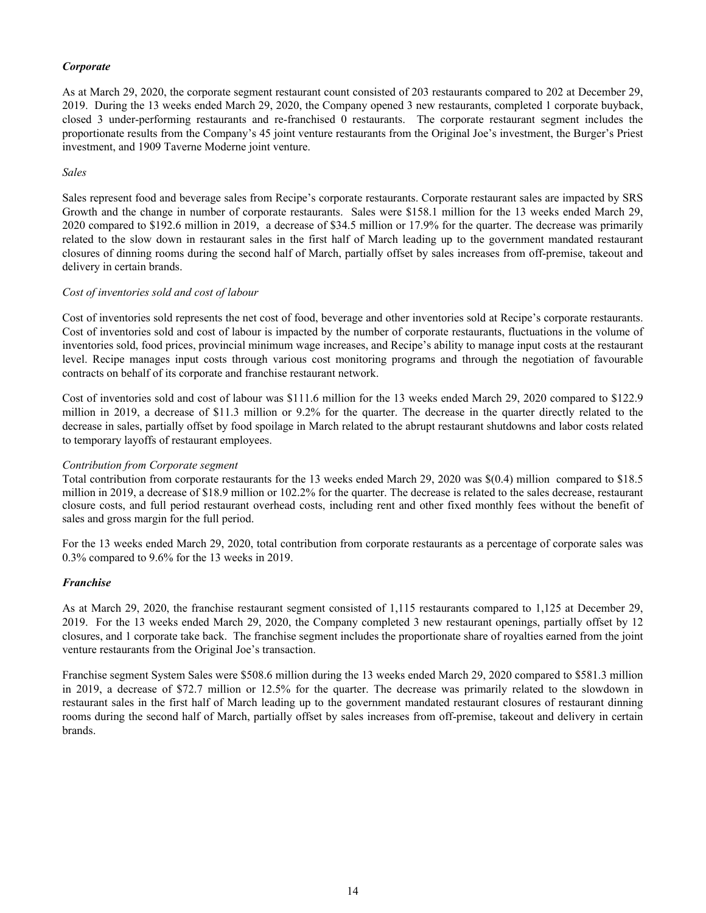# *Corporate*

As at March 29, 2020, the corporate segment restaurant count consisted of 203 restaurants compared to 202 at December 29, 2019. During the 13 weeks ended March 29, 2020, the Company opened 3 new restaurants, completed 1 corporate buyback, closed 3 under-performing restaurants and re-franchised 0 restaurants. The corporate restaurant segment includes the proportionate results from the Company's 45 joint venture restaurants from the Original Joe's investment, the Burger's Priest investment, and 1909 Taverne Moderne joint venture.

#### *Sales*

Sales represent food and beverage sales from Recipe's corporate restaurants. Corporate restaurant sales are impacted by SRS Growth and the change in number of corporate restaurants. Sales were \$158.1 million for the 13 weeks ended March 29, 2020 compared to \$192.6 million in 2019, a decrease of \$34.5 million or 17.9% for the quarter. The decrease was primarily related to the slow down in restaurant sales in the first half of March leading up to the government mandated restaurant closures of dinning rooms during the second half of March, partially offset by sales increases from off-premise, takeout and delivery in certain brands.

### *Cost of inventories sold and cost of labour*

Cost of inventories sold represents the net cost of food, beverage and other inventories sold at Recipe's corporate restaurants. Cost of inventories sold and cost of labour is impacted by the number of corporate restaurants, fluctuations in the volume of inventories sold, food prices, provincial minimum wage increases, and Recipe's ability to manage input costs at the restaurant level. Recipe manages input costs through various cost monitoring programs and through the negotiation of favourable contracts on behalf of its corporate and franchise restaurant network.

Cost of inventories sold and cost of labour was \$111.6 million for the 13 weeks ended March 29, 2020 compared to \$122.9 million in 2019, a decrease of \$11.3 million or 9.2% for the quarter. The decrease in the quarter directly related to the decrease in sales, partially offset by food spoilage in March related to the abrupt restaurant shutdowns and labor costs related to temporary layoffs of restaurant employees.

#### *Contribution from Corporate segment*

Total contribution from corporate restaurants for the 13 weeks ended March 29, 2020 was \$(0.4) million compared to \$18.5 million in 2019, a decrease of \$18.9 million or 102.2% for the quarter. The decrease is related to the sales decrease, restaurant closure costs, and full period restaurant overhead costs, including rent and other fixed monthly fees without the benefit of sales and gross margin for the full period.

For the 13 weeks ended March 29, 2020, total contribution from corporate restaurants as a percentage of corporate sales was 0.3% compared to 9.6% for the 13 weeks in 2019.

#### *Franchise*

As at March 29, 2020, the franchise restaurant segment consisted of 1,115 restaurants compared to 1,125 at December 29, 2019. For the 13 weeks ended March 29, 2020, the Company completed 3 new restaurant openings, partially offset by 12 closures, and 1 corporate take back. The franchise segment includes the proportionate share of royalties earned from the joint venture restaurants from the Original Joe's transaction.

Franchise segment System Sales were \$508.6 million during the 13 weeks ended March 29, 2020 compared to \$581.3 million in 2019, a decrease of \$72.7 million or 12.5% for the quarter. The decrease was primarily related to the slowdown in restaurant sales in the first half of March leading up to the government mandated restaurant closures of restaurant dinning rooms during the second half of March, partially offset by sales increases from off-premise, takeout and delivery in certain brands.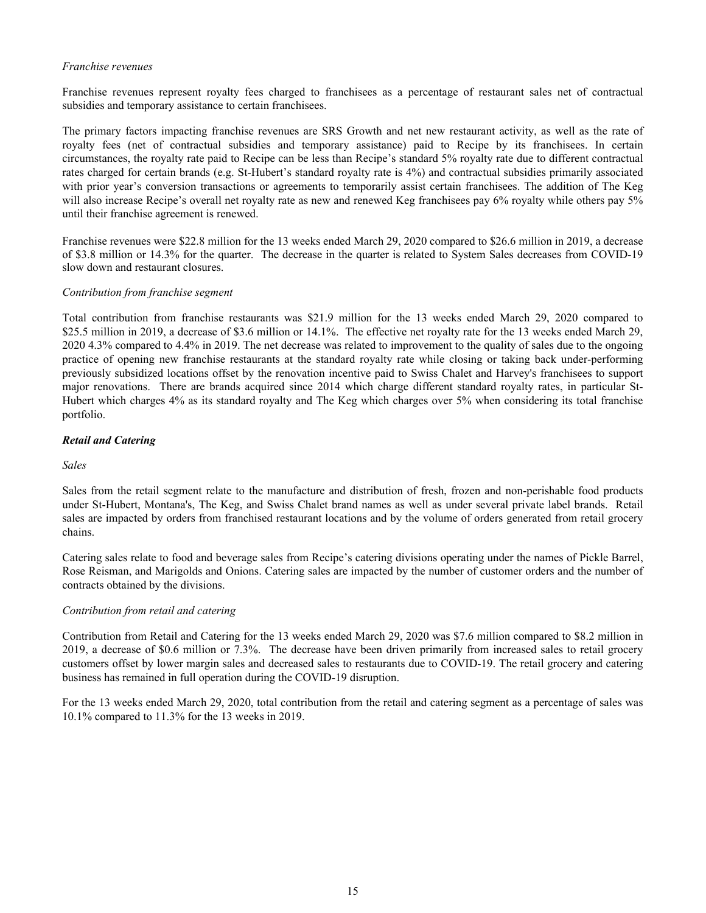### *Franchise revenues*

Franchise revenues represent royalty fees charged to franchisees as a percentage of restaurant sales net of contractual subsidies and temporary assistance to certain franchisees.

The primary factors impacting franchise revenues are SRS Growth and net new restaurant activity, as well as the rate of royalty fees (net of contractual subsidies and temporary assistance) paid to Recipe by its franchisees. In certain circumstances, the royalty rate paid to Recipe can be less than Recipe's standard 5% royalty rate due to different contractual rates charged for certain brands (e.g. St-Hubert's standard royalty rate is 4%) and contractual subsidies primarily associated with prior year's conversion transactions or agreements to temporarily assist certain franchisees. The addition of The Keg will also increase Recipe's overall net royalty rate as new and renewed Keg franchisees pay 6% royalty while others pay 5% until their franchise agreement is renewed.

Franchise revenues were \$22.8 million for the 13 weeks ended March 29, 2020 compared to \$26.6 million in 2019, a decrease of \$3.8 million or 14.3% for the quarter. The decrease in the quarter is related to System Sales decreases from COVID-19 slow down and restaurant closures.

#### *Contribution from franchise segment*

Total contribution from franchise restaurants was \$21.9 million for the 13 weeks ended March 29, 2020 compared to \$25.5 million in 2019, a decrease of \$3.6 million or 14.1%. The effective net royalty rate for the 13 weeks ended March 29, 2020 4.3% compared to 4.4% in 2019. The net decrease was related to improvement to the quality of sales due to the ongoing practice of opening new franchise restaurants at the standard royalty rate while closing or taking back under-performing previously subsidized locations offset by the renovation incentive paid to Swiss Chalet and Harvey's franchisees to support major renovations. There are brands acquired since 2014 which charge different standard royalty rates, in particular St-Hubert which charges 4% as its standard royalty and The Keg which charges over 5% when considering its total franchise portfolio.

### *Retail and Catering*

#### *Sales*

Sales from the retail segment relate to the manufacture and distribution of fresh, frozen and non-perishable food products under St-Hubert, Montana's, The Keg, and Swiss Chalet brand names as well as under several private label brands. Retail sales are impacted by orders from franchised restaurant locations and by the volume of orders generated from retail grocery chains.

Catering sales relate to food and beverage sales from Recipe's catering divisions operating under the names of Pickle Barrel, Rose Reisman, and Marigolds and Onions. Catering sales are impacted by the number of customer orders and the number of contracts obtained by the divisions.

#### *Contribution from retail and catering*

Contribution from Retail and Catering for the 13 weeks ended March 29, 2020 was \$7.6 million compared to \$8.2 million in 2019, a decrease of \$0.6 million or 7.3%. The decrease have been driven primarily from increased sales to retail grocery customers offset by lower margin sales and decreased sales to restaurants due to COVID-19. The retail grocery and catering business has remained in full operation during the COVID-19 disruption.

For the 13 weeks ended March 29, 2020, total contribution from the retail and catering segment as a percentage of sales was 10.1% compared to 11.3% for the 13 weeks in 2019.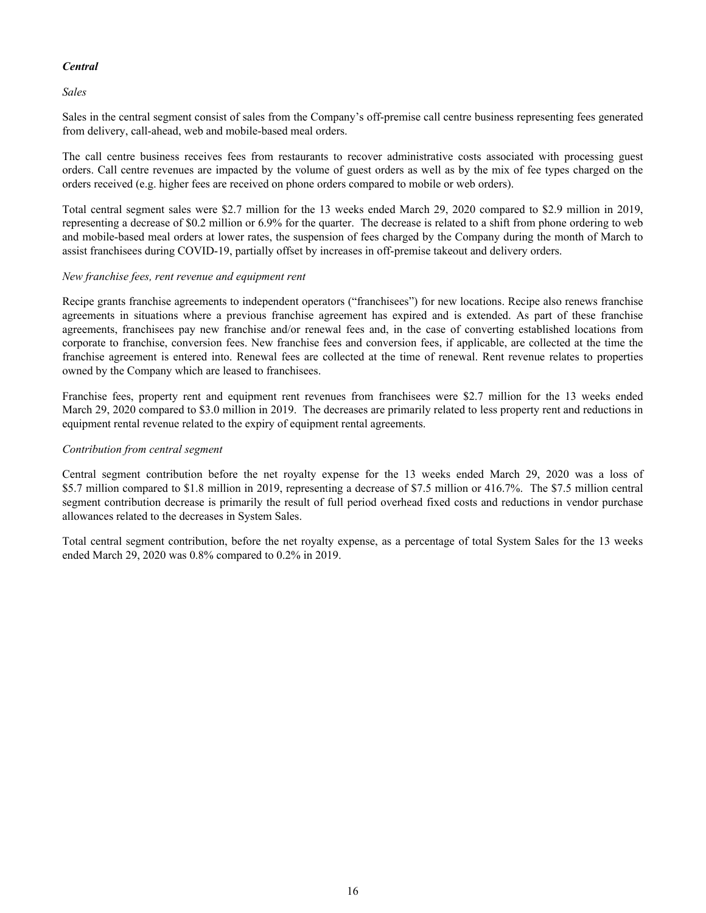# *Central*

*Sales*

Sales in the central segment consist of sales from the Company's off-premise call centre business representing fees generated from delivery, call-ahead, web and mobile-based meal orders.

The call centre business receives fees from restaurants to recover administrative costs associated with processing guest orders. Call centre revenues are impacted by the volume of guest orders as well as by the mix of fee types charged on the orders received (e.g. higher fees are received on phone orders compared to mobile or web orders).

Total central segment sales were \$2.7 million for the 13 weeks ended March 29, 2020 compared to \$2.9 million in 2019, representing a decrease of \$0.2 million or 6.9% for the quarter. The decrease is related to a shift from phone ordering to web and mobile-based meal orders at lower rates, the suspension of fees charged by the Company during the month of March to assist franchisees during COVID-19, partially offset by increases in off-premise takeout and delivery orders.

# *New franchise fees, rent revenue and equipment rent*

Recipe grants franchise agreements to independent operators ("franchisees") for new locations. Recipe also renews franchise agreements in situations where a previous franchise agreement has expired and is extended. As part of these franchise agreements, franchisees pay new franchise and/or renewal fees and, in the case of converting established locations from corporate to franchise, conversion fees. New franchise fees and conversion fees, if applicable, are collected at the time the franchise agreement is entered into. Renewal fees are collected at the time of renewal. Rent revenue relates to properties owned by the Company which are leased to franchisees.

Franchise fees, property rent and equipment rent revenues from franchisees were \$2.7 million for the 13 weeks ended March 29, 2020 compared to \$3.0 million in 2019. The decreases are primarily related to less property rent and reductions in equipment rental revenue related to the expiry of equipment rental agreements.

# *Contribution from central segment*

Central segment contribution before the net royalty expense for the 13 weeks ended March 29, 2020 was a loss of \$5.7 million compared to \$1.8 million in 2019, representing a decrease of \$7.5 million or 416.7%. The \$7.5 million central segment contribution decrease is primarily the result of full period overhead fixed costs and reductions in vendor purchase allowances related to the decreases in System Sales.

Total central segment contribution, before the net royalty expense, as a percentage of total System Sales for the 13 weeks ended March 29, 2020 was 0.8% compared to 0.2% in 2019.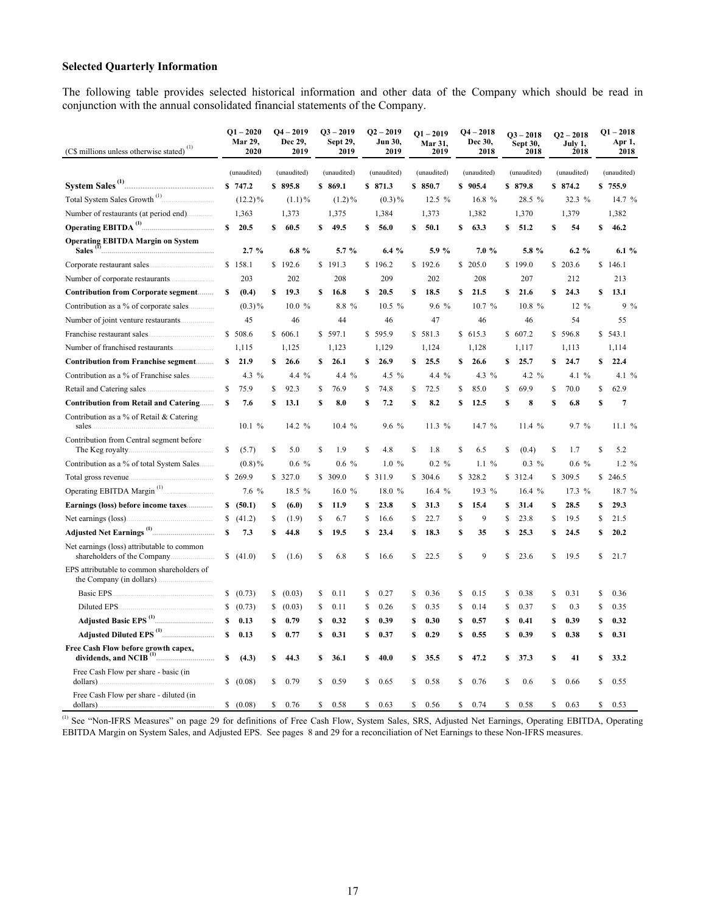# **Selected Quarterly Information**

The following table provides selected historical information and other data of the Company which should be read in conjunction with the annual consolidated financial statements of the Company.

| (C\$ millions unless otherwise stated) <sup>(1)</sup>                      |               | $Q1 - 2020$<br>Mar 29,<br>2020 |     | $Q4 - 2019$<br>Dec 29,<br>2019 |    | $Q3 - 2019$<br>Sept 29,<br>2019 |     | $Q2 - 2019$<br>Jun 30,<br>2019 |     | $Q1 - 2019$<br>Mar 31,<br>2019 |    | $Q4 - 2018$<br>Dec 30,<br>2018 | $Q3 - 2018$<br>Sept 30,<br>2018 |          |    | $Q2 - 2018$<br>July 1,<br>2018 |    | $Q1 - 2018$<br>Apr 1,<br>2018 |  |             |
|----------------------------------------------------------------------------|---------------|--------------------------------|-----|--------------------------------|----|---------------------------------|-----|--------------------------------|-----|--------------------------------|----|--------------------------------|---------------------------------|----------|----|--------------------------------|----|-------------------------------|--|-------------|
|                                                                            |               | (unaudited)                    |     | (unaudited)                    |    | (unaudited)                     |     | (unaudited)                    |     | (unaudited)                    |    |                                | (unaudited)                     |          |    | (unaudited)                    |    | (unaudited)                   |  | (unaudited) |
|                                                                            |               | \$747.2                        |     | \$895.8                        |    | \$869.1                         |     | \$871.3                        |     | \$850.7                        |    | \$905.4                        |                                 | \$879.8  |    | \$874.2                        |    | \$755.9                       |  |             |
| Total System Sales Growth <sup>(1)</sup>                                   |               | $(12.2)\%$                     |     | $(1.1) \%$                     |    | $(1.2)\%$                       |     | $(0.3) \%$                     |     | 12.5 %                         |    | 16.8 %                         |                                 | 28.5 %   |    | 32.3 %                         |    | 14.7 %                        |  |             |
|                                                                            |               | 1,363                          |     | 1,373                          |    | 1,375                           |     | 1,384                          |     | 1,373                          |    | 1,382                          |                                 | 1,370    |    | 1,379                          |    | 1,382                         |  |             |
|                                                                            | s             | 20.5                           | S   | 60.5                           | S  | 49.5                            | s   | 56.0                           | S   | 50.1                           | \$ | 63.3                           | S                               | 51.2     | S  | 54                             | S  | 46.2                          |  |             |
| <b>Operating EBITDA Margin on System</b><br>Sales                          |               | 2.7%                           |     | 6.8%                           |    | 5.7 %                           |     | 6.4%                           |     | 5.9%                           |    | 7.0%                           |                                 | 5.8 %    |    | $6.2 \%$                       |    | 6.1%                          |  |             |
|                                                                            |               | \$158.1                        |     | \$192.6                        |    | \$191.3                         |     | \$196.2                        |     | \$192.6                        |    | \$205.0                        |                                 | \$199.0  |    | \$203.6                        |    | \$146.1                       |  |             |
|                                                                            |               | 203                            |     | 202                            |    | 208                             |     | 209                            |     | 202                            |    | 208                            |                                 | 207      |    | 212                            |    | 213                           |  |             |
| Contribution from Corporate segment                                        | S             | (0.4)                          | \$  | 19.3                           | \$ | 16.8                            | \$  | 20.5                           | \$  | 18.5                           | \$ | 21.5                           | \$                              | 21.6     | \$ | 24.3                           | \$ | 13.1                          |  |             |
| Contribution as a % of corporate sales.<br>.                               |               | $(0.3)\%$                      |     | 10.0 %                         |    | 8.8 %                           |     | 10.5 %                         |     | 9.6 %                          |    | 10.7 %                         |                                 | 10.8%    |    | 12 %                           |    | $9\%$                         |  |             |
|                                                                            |               | 45                             |     | 46                             |    | 44                              |     | 46                             |     | 47                             |    | 46                             |                                 | 46       |    | 54                             |    | 55                            |  |             |
| Franchise restaurant sales.                                                |               | \$508.6                        |     | \$606.1                        |    | \$597.1                         |     | \$595.9                        |     | \$581.3                        |    | \$615.3                        |                                 | \$607.2  |    | \$596.8                        |    | \$543.1                       |  |             |
|                                                                            |               | 1,115                          |     | 1,125                          |    | 1,123                           |     | 1,129                          |     | 1,124                          |    | 1,128                          |                                 | 1,117    |    | 1,113                          |    | 1,114                         |  |             |
| <b>Contribution from Franchise segment</b>                                 | S             | 21.9                           | \$  | 26.6                           | \$ | 26.1                            | \$  | 26.9                           | S   | 25.5                           | \$ | 26.6                           | \$                              | 25.7     | \$ | 24.7                           | \$ | 22.4                          |  |             |
|                                                                            |               | 4.3 $%$                        |     | 4.4 %                          |    | 4.4 %                           |     | 4.5 %                          |     | $4.4\%$                        |    | 4.3 $%$                        |                                 | 4.2 $%$  |    | 4.1 $%$                        |    | 4.1 $%$                       |  |             |
|                                                                            | \$            | 75.9                           | \$  | 92.3                           | \$ | 76.9                            | \$  | 74.8                           | \$  | 72.5                           | \$ | 85.0                           | \$                              | 69.9     | \$ | 70.0                           | \$ | 62.9                          |  |             |
| <b>Contribution from Retail and Catering</b>                               | s             | 7.6                            | \$  | 13.1                           | \$ | 8.0                             | \$  | 7.2                            | S   | 8.2                            | \$ | 12.5                           | \$                              | 8        | S  | 6.8                            | \$ | $\overline{7}$                |  |             |
| Contribution as a % of Retail & Catering<br>sales.                         |               | 10.1%                          |     | 14.2 %                         |    | 10.4 %                          |     | 9.6 %                          |     | 11.3 %                         |    | 14.7 %                         |                                 | 11.4%    |    | 9.7 %                          |    | 11.1%                         |  |             |
| Contribution from Central segment before<br>The Keg royalty.               | \$            | (5.7)                          | \$  | 5.0                            | \$ | 1.9                             | S   | 4.8                            | S   | 1.8                            | \$ | 6.5                            | \$                              | (0.4)    | \$ | 1.7                            | S  | 5.2                           |  |             |
| Contribution as a % of total System Sales                                  |               | $(0.8)\%$                      |     | $0.6\%$                        |    | $0.6\%$                         |     | 1.0%                           |     | $0.2 \%$                       |    | $1.1\%$                        |                                 | $0.3\%$  |    | $0.6\%$                        |    | $1.2 \%$                      |  |             |
| Total gross revenue                                                        |               | \$269.9                        |     | \$327.0                        | \$ | 309.0                           |     | \$311.9                        |     | \$304.6                        |    | \$328.2                        |                                 | \$312.4  |    | \$309.5                        |    | \$246.5                       |  |             |
|                                                                            |               | 7.6 %                          |     | 18.5 %                         |    | 16.0 %                          |     | 18.0 %                         |     | 16.4 %                         |    | 19.3 %                         |                                 | 16.4 $%$ |    | 17.3 %                         |    | 18.7 %                        |  |             |
| Earnings (loss) before income taxes                                        | \$            | (50.1)                         | S   | (6.0)                          | \$ | 11.9                            | \$  | 23.8                           | \$  | 31.3                           | \$ | 15.4                           | \$                              | 31.4     | \$ | 28.5                           | \$ | 29.3                          |  |             |
| Net earnings (loss)                                                        | \$            | (41.2)                         | \$  | (1.9)                          | \$ | 6.7                             | \$  | 16.6                           | \$  | 22.7                           | \$ | 9                              | \$                              | 23.8     | S  | 19.5                           | \$ | 21.5                          |  |             |
|                                                                            | $\mathbf{s}$  | 7.3                            | S   | 44.8                           | \$ | 19.5                            | s   | 23.4                           | S   | 18.3                           | \$ | 35                             | S                               | 25.3     | S  | 24.5                           | S  | 20.2                          |  |             |
| Net earnings (loss) attributable to common<br>shareholders of the Company. | <sup>\$</sup> | (41.0)                         | S   | (1.6)                          | S  | 6.8                             | \$. | 16.6                           | \$. | 22.5                           | \$ | 9                              | S                               | 23.6     | S  | 19.5                           | S  | 21.7                          |  |             |
| EPS attributable to common shareholders of<br>the Company (in dollars).    |               |                                |     |                                |    |                                 |     |                                |     |                                |    |                                |                                 |          |    |                                |    |                               |  |             |
| Basic EPS.                                                                 |               | \$ (0.73)                      | S.  | (0.03)                         | \$ | 0.11                            | S   | 0.27                           | S   | 0.36                           | S  | 0.15                           | \$                              | 0.38     | \$ | 0.31                           | S  | 0.36                          |  |             |
| Diluted EPS.                                                               | $\mathbb{S}$  | (0.73)                         | \$  | (0.03)                         | \$ | 0.11                            | S   | 0.26                           | \$  | 0.35                           | \$ | 0.14                           | Ŝ                               | 0.37     | \$ | 0.3                            | \$ | 0.35                          |  |             |
|                                                                            | \$            | 0.13                           | \$  | 0.79                           | \$ | 0.32                            | \$  | 0.39                           | \$  | 0.30                           | \$ | 0.57                           | S                               | 0.41     | \$ | 0.39                           | \$ | 0.32                          |  |             |
|                                                                            | s             | 0.13                           | S   | 0.77                           | \$ | 0.31                            | s   | 0.37                           | s   | 0.29                           | S  | 0.55                           | S                               | 0.39     | S  | 0.38                           | s  | 0.31                          |  |             |
| Free Cash Flow before growth capex,                                        | s             | (4.3)                          | s   | 44.3                           | \$ | 36.1                            | s   | 40.0                           | S   | 35.5                           | S  | 47.2                           | S                               | 37.3     | S  | 41                             | s  | 33.2                          |  |             |
| Free Cash Flow per share - basic (in<br>dollars).<br>.                     | \$            | (0.08)                         | \$. | 0.79                           | \$ | 0.59                            | \$. | 0.65                           | \$. | 0.58                           | S  | 0.76                           | S                               | 0.6      | S  | 0.66                           | \$ | 0.55                          |  |             |
| Free Cash Flow per share - diluted (in<br>dollars).                        |               | \$ (0.08)                      | \$  | 0.76                           | \$ | 0.58                            | \$  | 0.63                           | \$  | 0.56                           | \$ | 0.74                           | \$                              | 0.58     | \$ | 0.63                           | \$ | 0.53                          |  |             |

<sup>(1)</sup> See "Non-IFRS Measures" on page 29 for definitions of Free Cash Flow, System Sales, SRS, Adjusted Net Earnings, Operating EBITDA, Operating EBITDA Margin on System Sales, and Adjusted EPS. See pages 8 and 29 for a reconciliation of Net Earnings to these Non-IFRS measures.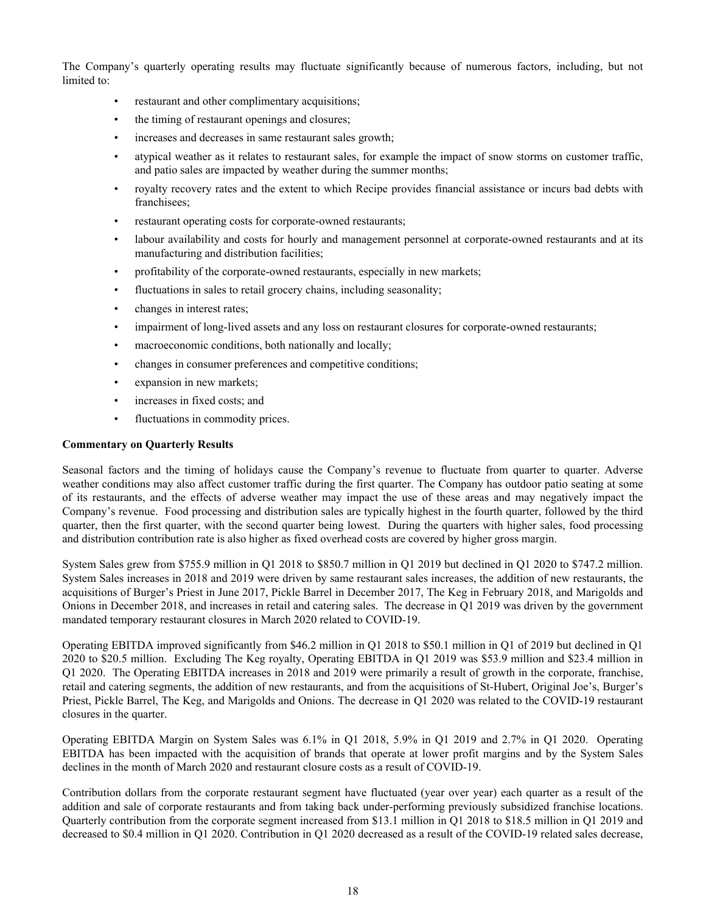The Company's quarterly operating results may fluctuate significantly because of numerous factors, including, but not limited to:

- restaurant and other complimentary acquisitions;
- the timing of restaurant openings and closures;
- increases and decreases in same restaurant sales growth;
- atypical weather as it relates to restaurant sales, for example the impact of snow storms on customer traffic, and patio sales are impacted by weather during the summer months;
- royalty recovery rates and the extent to which Recipe provides financial assistance or incurs bad debts with franchisees;
- restaurant operating costs for corporate-owned restaurants;
- labour availability and costs for hourly and management personnel at corporate-owned restaurants and at its manufacturing and distribution facilities;
- profitability of the corporate-owned restaurants, especially in new markets;
- fluctuations in sales to retail grocery chains, including seasonality;
- changes in interest rates;
- impairment of long-lived assets and any loss on restaurant closures for corporate-owned restaurants;
- macroeconomic conditions, both nationally and locally;
- changes in consumer preferences and competitive conditions;
- expansion in new markets;
- increases in fixed costs; and
- fluctuations in commodity prices.

### **Commentary on Quarterly Results**

Seasonal factors and the timing of holidays cause the Company's revenue to fluctuate from quarter to quarter. Adverse weather conditions may also affect customer traffic during the first quarter. The Company has outdoor patio seating at some of its restaurants, and the effects of adverse weather may impact the use of these areas and may negatively impact the Company's revenue. Food processing and distribution sales are typically highest in the fourth quarter, followed by the third quarter, then the first quarter, with the second quarter being lowest. During the quarters with higher sales, food processing and distribution contribution rate is also higher as fixed overhead costs are covered by higher gross margin.

System Sales grew from \$755.9 million in Q1 2018 to \$850.7 million in Q1 2019 but declined in Q1 2020 to \$747.2 million. System Sales increases in 2018 and 2019 were driven by same restaurant sales increases, the addition of new restaurants, the acquisitions of Burger's Priest in June 2017, Pickle Barrel in December 2017, The Keg in February 2018, and Marigolds and Onions in December 2018, and increases in retail and catering sales. The decrease in Q1 2019 was driven by the government mandated temporary restaurant closures in March 2020 related to COVID-19.

Operating EBITDA improved significantly from \$46.2 million in Q1 2018 to \$50.1 million in Q1 of 2019 but declined in Q1 2020 to \$20.5 million. Excluding The Keg royalty, Operating EBITDA in Q1 2019 was \$53.9 million and \$23.4 million in Q1 2020. The Operating EBITDA increases in 2018 and 2019 were primarily a result of growth in the corporate, franchise, retail and catering segments, the addition of new restaurants, and from the acquisitions of St-Hubert, Original Joe's, Burger's Priest, Pickle Barrel, The Keg, and Marigolds and Onions. The decrease in Q1 2020 was related to the COVID-19 restaurant closures in the quarter.

Operating EBITDA Margin on System Sales was 6.1% in Q1 2018, 5.9% in Q1 2019 and 2.7% in Q1 2020. Operating EBITDA has been impacted with the acquisition of brands that operate at lower profit margins and by the System Sales declines in the month of March 2020 and restaurant closure costs as a result of COVID-19.

Contribution dollars from the corporate restaurant segment have fluctuated (year over year) each quarter as a result of the addition and sale of corporate restaurants and from taking back under-performing previously subsidized franchise locations. Quarterly contribution from the corporate segment increased from \$13.1 million in Q1 2018 to \$18.5 million in Q1 2019 and decreased to \$0.4 million in Q1 2020. Contribution in Q1 2020 decreased as a result of the COVID-19 related sales decrease,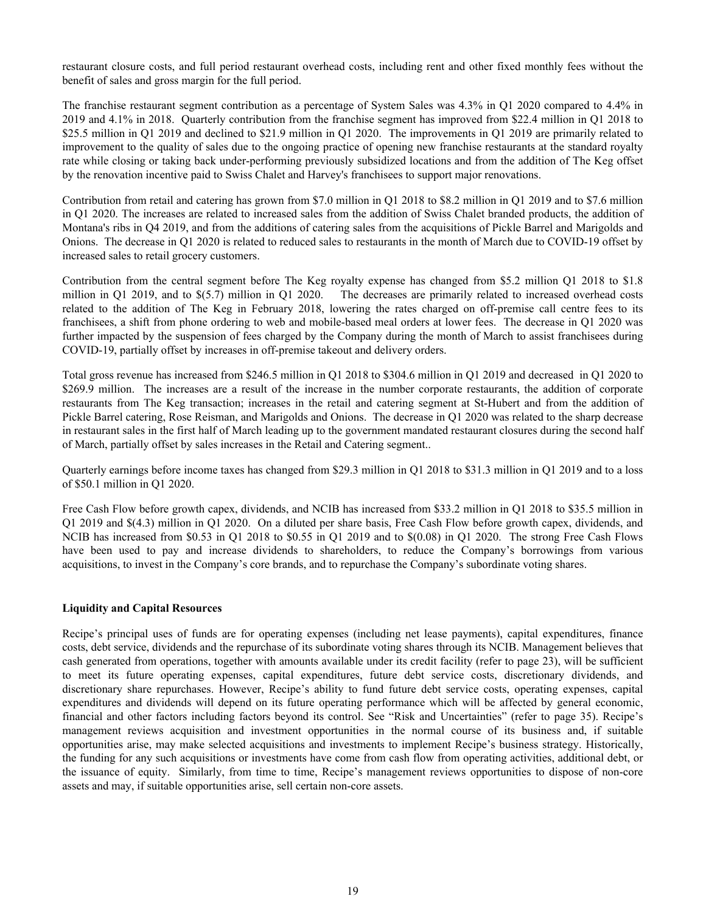restaurant closure costs, and full period restaurant overhead costs, including rent and other fixed monthly fees without the benefit of sales and gross margin for the full period.

The franchise restaurant segment contribution as a percentage of System Sales was 4.3% in Q1 2020 compared to 4.4% in 2019 and 4.1% in 2018. Quarterly contribution from the franchise segment has improved from \$22.4 million in Q1 2018 to \$25.5 million in Q1 2019 and declined to \$21.9 million in Q1 2020. The improvements in Q1 2019 are primarily related to improvement to the quality of sales due to the ongoing practice of opening new franchise restaurants at the standard royalty rate while closing or taking back under-performing previously subsidized locations and from the addition of The Keg offset by the renovation incentive paid to Swiss Chalet and Harvey's franchisees to support major renovations.

Contribution from retail and catering has grown from \$7.0 million in Q1 2018 to \$8.2 million in Q1 2019 and to \$7.6 million in Q1 2020. The increases are related to increased sales from the addition of Swiss Chalet branded products, the addition of Montana's ribs in Q4 2019, and from the additions of catering sales from the acquisitions of Pickle Barrel and Marigolds and Onions. The decrease in Q1 2020 is related to reduced sales to restaurants in the month of March due to COVID-19 offset by increased sales to retail grocery customers.

Contribution from the central segment before The Keg royalty expense has changed from \$5.2 million Q1 2018 to \$1.8 million in Q1 2019, and to \$(5.7) million in Q1 2020. The decreases are primarily related to increased overhead costs related to the addition of The Keg in February 2018, lowering the rates charged on off-premise call centre fees to its franchisees, a shift from phone ordering to web and mobile-based meal orders at lower fees. The decrease in Q1 2020 was further impacted by the suspension of fees charged by the Company during the month of March to assist franchisees during COVID-19, partially offset by increases in off-premise takeout and delivery orders.

Total gross revenue has increased from \$246.5 million in Q1 2018 to \$304.6 million in Q1 2019 and decreased in Q1 2020 to \$269.9 million. The increases are a result of the increase in the number corporate restaurants, the addition of corporate restaurants from The Keg transaction; increases in the retail and catering segment at St-Hubert and from the addition of Pickle Barrel catering, Rose Reisman, and Marigolds and Onions. The decrease in Q1 2020 was related to the sharp decrease in restaurant sales in the first half of March leading up to the government mandated restaurant closures during the second half of March, partially offset by sales increases in the Retail and Catering segment..

Quarterly earnings before income taxes has changed from \$29.3 million in Q1 2018 to \$31.3 million in Q1 2019 and to a loss of \$50.1 million in Q1 2020.

Free Cash Flow before growth capex, dividends, and NCIB has increased from \$33.2 million in Q1 2018 to \$35.5 million in Q1 2019 and \$(4.3) million in Q1 2020. On a diluted per share basis, Free Cash Flow before growth capex, dividends, and NCIB has increased from \$0.53 in Q1 2018 to \$0.55 in Q1 2019 and to \$(0.08) in Q1 2020. The strong Free Cash Flows have been used to pay and increase dividends to shareholders, to reduce the Company's borrowings from various acquisitions, to invest in the Company's core brands, and to repurchase the Company's subordinate voting shares.

# **Liquidity and Capital Resources**

Recipe's principal uses of funds are for operating expenses (including net lease payments), capital expenditures, finance costs, debt service, dividends and the repurchase of its subordinate voting shares through its NCIB. Management believes that cash generated from operations, together with amounts available under its credit facility (refer to page 23), will be sufficient to meet its future operating expenses, capital expenditures, future debt service costs, discretionary dividends, and discretionary share repurchases. However, Recipe's ability to fund future debt service costs, operating expenses, capital expenditures and dividends will depend on its future operating performance which will be affected by general economic, financial and other factors including factors beyond its control. See "Risk and Uncertainties" (refer to page 35). Recipe's management reviews acquisition and investment opportunities in the normal course of its business and, if suitable opportunities arise, may make selected acquisitions and investments to implement Recipe's business strategy. Historically, the funding for any such acquisitions or investments have come from cash flow from operating activities, additional debt, or the issuance of equity. Similarly, from time to time, Recipe's management reviews opportunities to dispose of non-core assets and may, if suitable opportunities arise, sell certain non-core assets.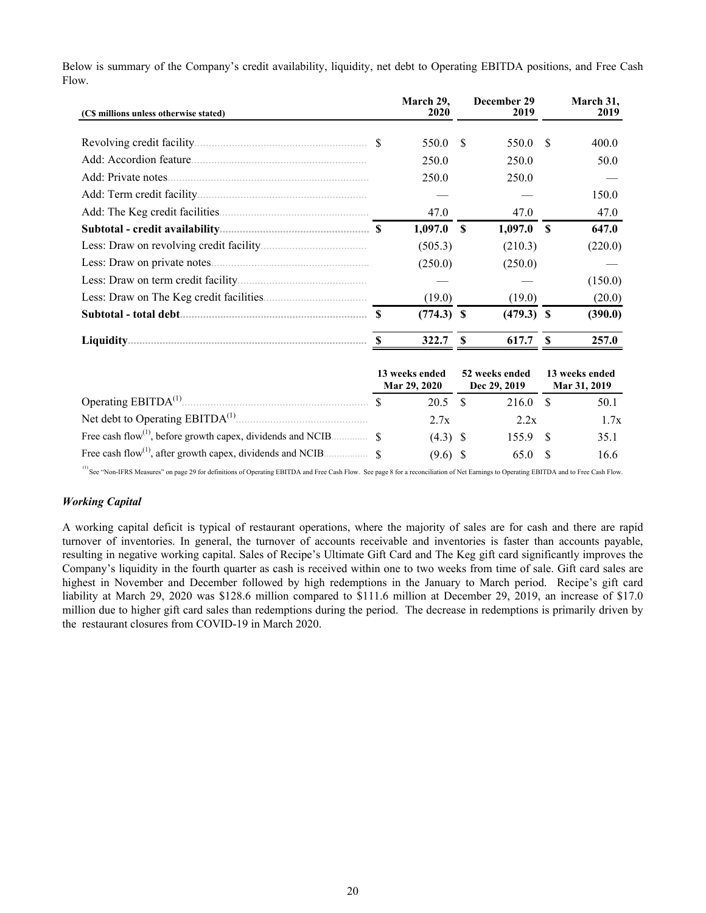| (C\$ millions unless otherwise stated)      | March 29,<br>2020              |              | December 29<br>2019            |    | March 31,<br>2019              |
|---------------------------------------------|--------------------------------|--------------|--------------------------------|----|--------------------------------|
|                                             | 550.0                          | -S           | 550.0                          | S  | 400.0                          |
|                                             | 250.0                          |              | 250.0                          |    | 50.0                           |
|                                             | 250.0                          |              | 250.0                          |    |                                |
|                                             |                                |              |                                |    | 150.0                          |
|                                             | 47.0                           |              | 47.0                           |    | 47.0                           |
|                                             | 1,097.0                        | $\mathbf{s}$ | 1,097.0                        | -S | 647.0                          |
|                                             | (505.3)                        |              | (210.3)                        |    | (220.0)                        |
|                                             | (250.0)                        |              | (250.0)                        |    |                                |
|                                             |                                |              |                                |    | (150.0)                        |
|                                             | (19.0)                         |              | (19.0)                         |    | (20.0)                         |
|                                             | $(774.3)$ \$                   |              | $(479.3)$ \$                   |    | (390.0)                        |
|                                             | 322.7                          | \$           | 617.7                          | S  | 257.0                          |
|                                             | 13 weeks ended<br>Mar 29, 2020 |              | 52 weeks ended<br>Dec 29, 2019 |    | 13 weeks ended<br>Mar 31, 2019 |
|                                             | 20.5                           | <b>S</b>     | $216.0$ \$                     |    | 50.1                           |
| Net debt to Operating EBITDA <sup>(1)</sup> | 2.7x                           |              | 2.2x                           |    | 1.7x                           |
|                                             | $(4.3)$ \$                     |              | 155.9                          | -S | 35.1                           |
|                                             | $(9.6)$ \$                     |              | 65.0                           | S  | 16.6                           |

Below is summary of the Company's credit availability, liquidity, net debt to Operating EBITDA positions, and Free Cash Flow.

(1) See "Non-IFRS Measures" on page 29 for definitions of Operating EBITDA and Free Cash Flow. See page 8 for a reconciliation of Net Earnings to Operating EBITDA and to Free Cash Flow.

# *Working Capital*

A working capital deficit is typical of restaurant operations, where the majority of sales are for cash and there are rapid turnover of inventories. In general, the turnover of accounts receivable and inventories is faster than accounts payable, resulting in negative working capital. Sales of Recipe's Ultimate Gift Card and The Keg gift card significantly improves the Company's liquidity in the fourth quarter as cash is received within one to two weeks from time of sale. Gift card sales are highest in November and December followed by high redemptions in the January to March period. Recipe's gift card liability at March 29, 2020 was \$128.6 million compared to \$111.6 million at December 29, 2019, an increase of \$17.0 million due to higher gift card sales than redemptions during the period. The decrease in redemptions is primarily driven by the restaurant closures from COVID-19 in March 2020.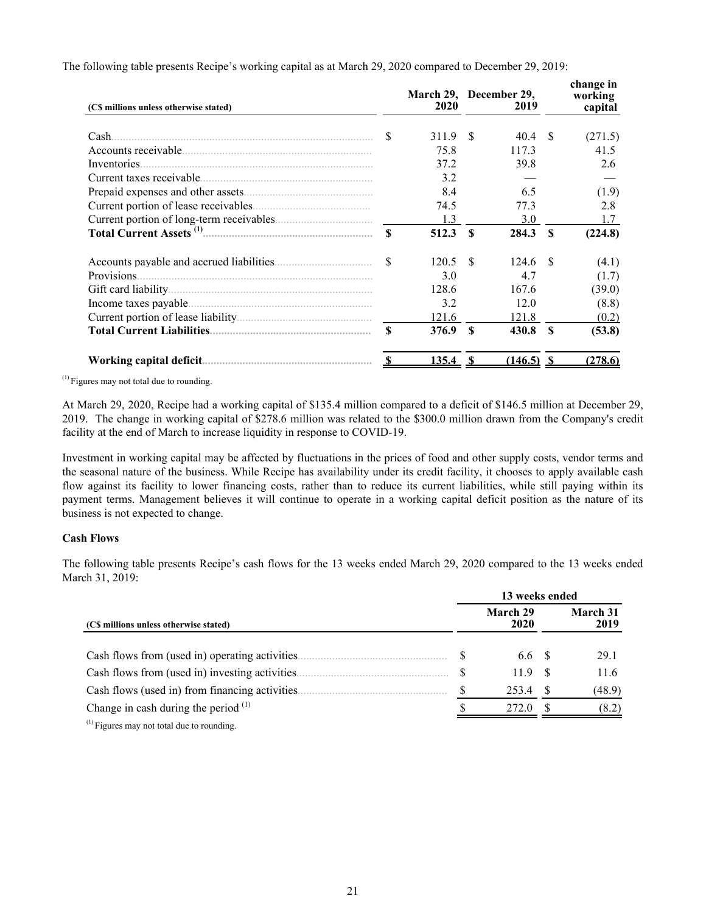| (C\$ millions unless otherwise stated) |                    | March 29, December 29,<br>2020 |                        | 2019         |              | change in<br>working<br>capital |
|----------------------------------------|--------------------|--------------------------------|------------------------|--------------|--------------|---------------------------------|
| Cash.                                  | \$                 | 311.9                          | -\$                    | 40.4         | -\$          | (271.5)                         |
|                                        |                    | 75.8                           |                        | 117.3        |              | 41.5                            |
| Inventories.                           |                    | 37.2                           |                        | 39.8         |              | 2.6                             |
|                                        |                    | 3.2                            |                        |              |              |                                 |
|                                        |                    | 8.4                            |                        | 6.5          |              | (1.9)                           |
|                                        |                    | 74.5                           |                        | 77.3         |              | 2.8                             |
|                                        |                    | 1.3                            |                        | 3.0          |              | 1.7                             |
|                                        | $\mathbf{\hat{S}}$ | 512.3                          | $\mathbf{\mathcal{S}}$ | 284.3        | - \$         | (224.8)                         |
|                                        | \$                 | 120.5                          | - \$                   | 124.6        | -8           | (4.1)                           |
| Provisions.                            |                    | 3.0                            |                        | 4.7          |              | (1.7)                           |
|                                        |                    | 128.6                          |                        | 167.6        |              | (39.0)                          |
|                                        |                    | 3.2                            |                        | 12.0         |              | (8.8)                           |
|                                        |                    | 121.6                          |                        | 121.8        |              | (0.2)                           |
|                                        | \$                 | 376.9                          | $\mathbf{\mathcal{S}}$ | 430.8        | $\mathbf{s}$ | (53.8)                          |
|                                        |                    | 135.4                          | -S                     | $(146.5)$ \$ |              | (278.6)                         |

The following table presents Recipe's working capital as at March 29, 2020 compared to December 29, 2019:

 $<sup>(1)</sup>$  Figures may not total due to rounding.</sup>

At March 29, 2020, Recipe had a working capital of \$135.4 million compared to a deficit of \$146.5 million at December 29, 2019. The change in working capital of \$278.6 million was related to the \$300.0 million drawn from the Company's credit facility at the end of March to increase liquidity in response to COVID-19.

Investment in working capital may be affected by fluctuations in the prices of food and other supply costs, vendor terms and the seasonal nature of the business. While Recipe has availability under its credit facility, it chooses to apply available cash flow against its facility to lower financing costs, rather than to reduce its current liabilities, while still paying within its payment terms. Management believes it will continue to operate in a working capital deficit position as the nature of its business is not expected to change.

# **Cash Flows**

The following table presents Recipe's cash flows for the 13 weeks ended March 29, 2020 compared to the 13 weeks ended March 31, 2019:

|                                                              |  | 13 weeks ended   |     |                  |  |  |  |  |  |  |
|--------------------------------------------------------------|--|------------------|-----|------------------|--|--|--|--|--|--|
| (C\$ millions unless otherwise stated)                       |  | March 29<br>2020 |     | March 31<br>2019 |  |  |  |  |  |  |
| Cash flows from (used in) operating activities.              |  | 6.6 S            |     | 29.1             |  |  |  |  |  |  |
| Cash flows from (used in) investing activities.              |  | 119              | - S | 11.6             |  |  |  |  |  |  |
| Cash flows (used in) from financing activities.              |  | 253.4            |     | (48.9)           |  |  |  |  |  |  |
| Change in cash during the period $(1)$                       |  | 272.0            |     | (8.2)            |  |  |  |  |  |  |
| $\left(1\right)$ produces as a constant of the second state. |  |                  |     |                  |  |  |  |  |  |  |

Figures may not total due to rounding.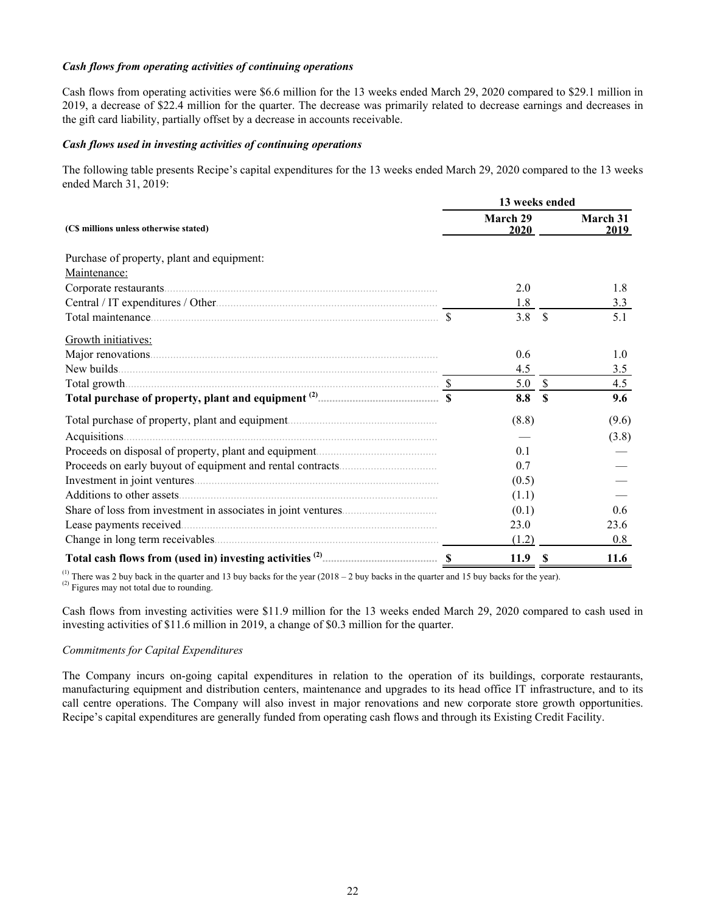### *Cash flows from operating activities of continuing operations*

Cash flows from operating activities were \$6.6 million for the 13 weeks ended March 29, 2020 compared to \$29.1 million in 2019, a decrease of \$22.4 million for the quarter. The decrease was primarily related to decrease earnings and decreases in the gift card liability, partially offset by a decrease in accounts receivable.

### *Cash flows used in investing activities of continuing operations*

The following table presents Recipe's capital expenditures for the 13 weeks ended March 29, 2020 compared to the 13 weeks ended March 31, 2019:

|                                                                                                                                                                                                                                     | 13 weeks ended    |               |                  |  |  |  |  |  |
|-------------------------------------------------------------------------------------------------------------------------------------------------------------------------------------------------------------------------------------|-------------------|---------------|------------------|--|--|--|--|--|
| (C\$ millions unless otherwise stated)                                                                                                                                                                                              | March 29<br>2020  |               | March 31<br>2019 |  |  |  |  |  |
| Purchase of property, plant and equipment:                                                                                                                                                                                          |                   |               |                  |  |  |  |  |  |
| Maintenance:                                                                                                                                                                                                                        |                   |               |                  |  |  |  |  |  |
|                                                                                                                                                                                                                                     | 2.0               |               | 1.8              |  |  |  |  |  |
|                                                                                                                                                                                                                                     | 1.8               |               | 3.3              |  |  |  |  |  |
| Total maintenance <u>communications</u> and the settlement of the settlement of the settlement of the settlement of the settlement of the settlement of the settlement of the settlement of the settlement of the settlement of the | 3.8               | $\mathcal{S}$ | 5.1              |  |  |  |  |  |
| Growth initiatives:                                                                                                                                                                                                                 |                   |               |                  |  |  |  |  |  |
|                                                                                                                                                                                                                                     | 0.6               |               | 1.0              |  |  |  |  |  |
|                                                                                                                                                                                                                                     | 4.5               |               | 3.5              |  |  |  |  |  |
|                                                                                                                                                                                                                                     | 5.0               | $\mathcal{S}$ | 4.5              |  |  |  |  |  |
|                                                                                                                                                                                                                                     | 8.8               | $\mathbf{s}$  | 9.6              |  |  |  |  |  |
|                                                                                                                                                                                                                                     | (8.8)             |               | (9.6)            |  |  |  |  |  |
|                                                                                                                                                                                                                                     |                   |               | (3.8)            |  |  |  |  |  |
|                                                                                                                                                                                                                                     | 0.1               |               |                  |  |  |  |  |  |
|                                                                                                                                                                                                                                     | 0.7               |               |                  |  |  |  |  |  |
|                                                                                                                                                                                                                                     | (0.5)             |               |                  |  |  |  |  |  |
|                                                                                                                                                                                                                                     | (1.1)             |               |                  |  |  |  |  |  |
|                                                                                                                                                                                                                                     | (0.1)             |               | 0.6              |  |  |  |  |  |
| Lease payments received                                                                                                                                                                                                             | 23.0              |               | 23.6             |  |  |  |  |  |
|                                                                                                                                                                                                                                     | (1.2)             |               | 0.8              |  |  |  |  |  |
|                                                                                                                                                                                                                                     | 11.9 <sup>°</sup> |               | 11.6             |  |  |  |  |  |

<sup>(1)</sup> There was 2 buy back in the quarter and 13 buy backs for the year  $(2018 - 2$  buy backs in the quarter and 15 buy backs for the year).  $^{(2)}$  Figures may not total due to rounding.

Cash flows from investing activities were \$11.9 million for the 13 weeks ended March 29, 2020 compared to cash used in investing activities of \$11.6 million in 2019, a change of \$0.3 million for the quarter.

# *Commitments for Capital Expenditures*

The Company incurs on-going capital expenditures in relation to the operation of its buildings, corporate restaurants, manufacturing equipment and distribution centers, maintenance and upgrades to its head office IT infrastructure, and to its call centre operations. The Company will also invest in major renovations and new corporate store growth opportunities. Recipe's capital expenditures are generally funded from operating cash flows and through its Existing Credit Facility.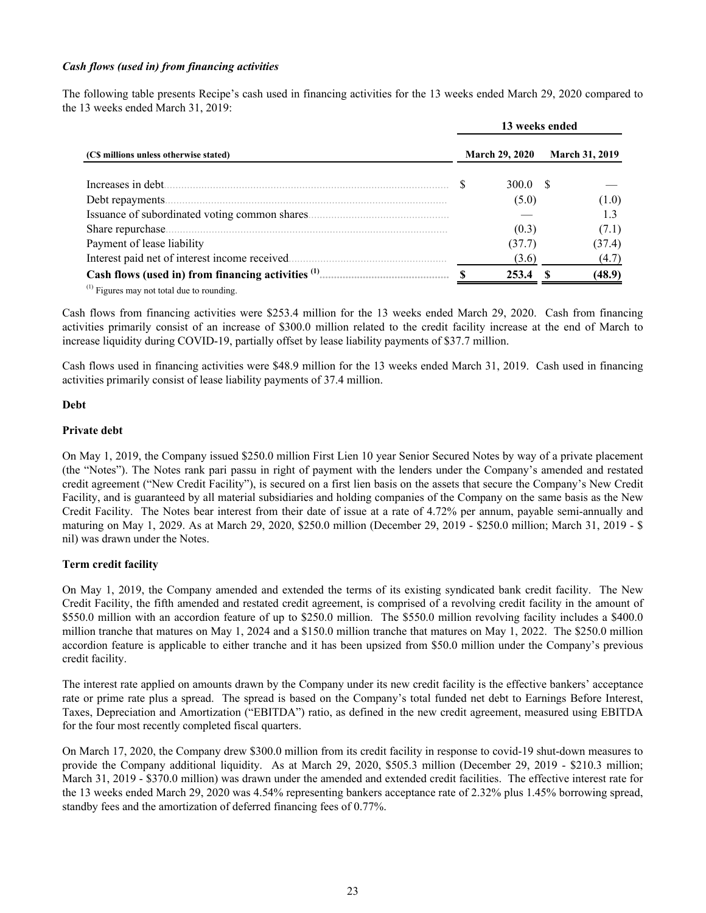### *Cash flows (used in) from financing activities*

The following table presents Recipe's cash used in financing activities for the 13 weeks ended March 29, 2020 compared to the 13 weeks ended March 31, 2019:

|                                                      | 13 weeks ended |                       |  |                       |  |  |  |  |
|------------------------------------------------------|----------------|-----------------------|--|-----------------------|--|--|--|--|
| (C\$ millions unless otherwise stated)               |                | <b>March 29, 2020</b> |  | <b>March 31, 2019</b> |  |  |  |  |
| Increases in debt.                                   |                | 300.0 S               |  |                       |  |  |  |  |
| Debt repayments.                                     |                | (5.0)                 |  | (1.0)                 |  |  |  |  |
|                                                      |                |                       |  |                       |  |  |  |  |
| Share repurchase.                                    |                | (0.3)                 |  | (7.1)                 |  |  |  |  |
| Payment of lease liability                           |                | (37.7)                |  | (37.4)                |  |  |  |  |
| Interest paid net of interest income received.       |                | (3.6)                 |  | (4.7)                 |  |  |  |  |
| Cash flows (used in) from financing activities $(1)$ |                | 253.4                 |  | (48.9)                |  |  |  |  |

 $<sup>(1)</sup>$  Figures may not total due to rounding.</sup>

Cash flows from financing activities were \$253.4 million for the 13 weeks ended March 29, 2020. Cash from financing activities primarily consist of an increase of \$300.0 million related to the credit facility increase at the end of March to increase liquidity during COVID-19, partially offset by lease liability payments of \$37.7 million.

Cash flows used in financing activities were \$48.9 million for the 13 weeks ended March 31, 2019. Cash used in financing activities primarily consist of lease liability payments of 37.4 million.

### **Debt**

### **Private debt**

On May 1, 2019, the Company issued \$250.0 million First Lien 10 year Senior Secured Notes by way of a private placement (the "Notes"). The Notes rank pari passu in right of payment with the lenders under the Company's amended and restated credit agreement ("New Credit Facility"), is secured on a first lien basis on the assets that secure the Company's New Credit Facility, and is guaranteed by all material subsidiaries and holding companies of the Company on the same basis as the New Credit Facility. The Notes bear interest from their date of issue at a rate of 4.72% per annum, payable semi-annually and maturing on May 1, 2029. As at March 29, 2020, \$250.0 million (December 29, 2019 - \$250.0 million; March 31, 2019 - \$ nil) was drawn under the Notes.

# **Term credit facility**

On May 1, 2019, the Company amended and extended the terms of its existing syndicated bank credit facility. The New Credit Facility, the fifth amended and restated credit agreement, is comprised of a revolving credit facility in the amount of \$550.0 million with an accordion feature of up to \$250.0 million. The \$550.0 million revolving facility includes a \$400.0 million tranche that matures on May 1, 2024 and a \$150.0 million tranche that matures on May 1, 2022. The \$250.0 million accordion feature is applicable to either tranche and it has been upsized from \$50.0 million under the Company's previous credit facility.

The interest rate applied on amounts drawn by the Company under its new credit facility is the effective bankers' acceptance rate or prime rate plus a spread. The spread is based on the Company's total funded net debt to Earnings Before Interest, Taxes, Depreciation and Amortization ("EBITDA") ratio, as defined in the new credit agreement, measured using EBITDA for the four most recently completed fiscal quarters.

On March 17, 2020, the Company drew \$300.0 million from its credit facility in response to covid-19 shut-down measures to provide the Company additional liquidity. As at March 29, 2020, \$505.3 million (December 29, 2019 - \$210.3 million; March 31, 2019 - \$370.0 million) was drawn under the amended and extended credit facilities. The effective interest rate for the 13 weeks ended March 29, 2020 was 4.54% representing bankers acceptance rate of 2.32% plus 1.45% borrowing spread, standby fees and the amortization of deferred financing fees of 0.77%.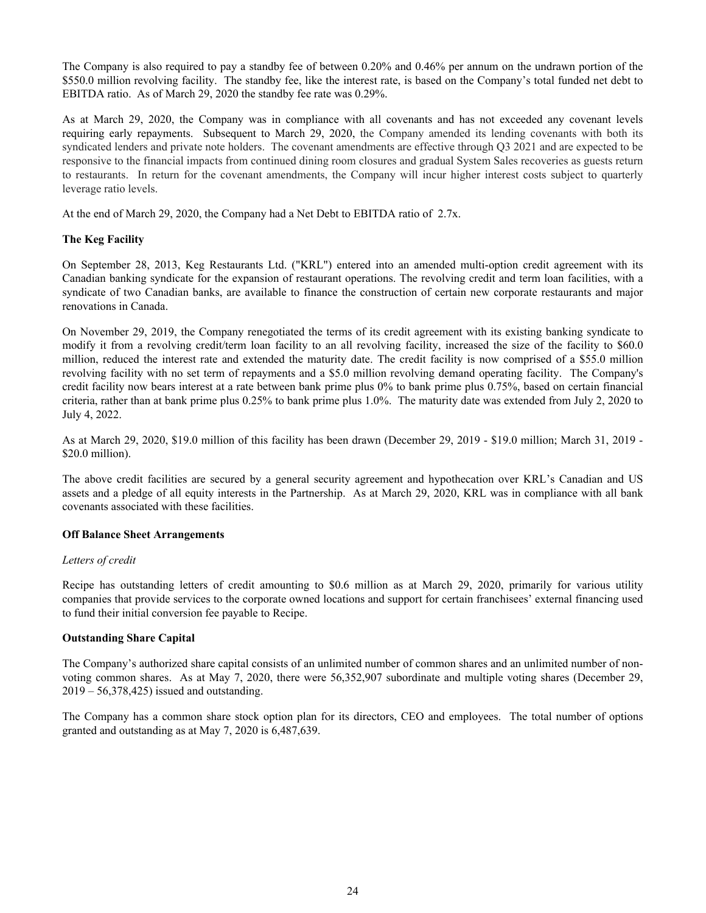The Company is also required to pay a standby fee of between 0.20% and 0.46% per annum on the undrawn portion of the \$550.0 million revolving facility. The standby fee, like the interest rate, is based on the Company's total funded net debt to EBITDA ratio. As of March 29, 2020 the standby fee rate was 0.29%.

As at March 29, 2020, the Company was in compliance with all covenants and has not exceeded any covenant levels requiring early repayments. Subsequent to March 29, 2020, the Company amended its lending covenants with both its syndicated lenders and private note holders. The covenant amendments are effective through Q3 2021 and are expected to be responsive to the financial impacts from continued dining room closures and gradual System Sales recoveries as guests return to restaurants. In return for the covenant amendments, the Company will incur higher interest costs subject to quarterly leverage ratio levels.

At the end of March 29, 2020, the Company had a Net Debt to EBITDA ratio of 2.7x.

# **The Keg Facility**

On September 28, 2013, Keg Restaurants Ltd. ("KRL") entered into an amended multi-option credit agreement with its Canadian banking syndicate for the expansion of restaurant operations. The revolving credit and term loan facilities, with a syndicate of two Canadian banks, are available to finance the construction of certain new corporate restaurants and major renovations in Canada.

On November 29, 2019, the Company renegotiated the terms of its credit agreement with its existing banking syndicate to modify it from a revolving credit/term loan facility to an all revolving facility, increased the size of the facility to \$60.0 million, reduced the interest rate and extended the maturity date. The credit facility is now comprised of a \$55.0 million revolving facility with no set term of repayments and a \$5.0 million revolving demand operating facility. The Company's credit facility now bears interest at a rate between bank prime plus 0% to bank prime plus 0.75%, based on certain financial criteria, rather than at bank prime plus 0.25% to bank prime plus 1.0%. The maturity date was extended from July 2, 2020 to July 4, 2022.

As at March 29, 2020, \$19.0 million of this facility has been drawn (December 29, 2019 - \$19.0 million; March 31, 2019 - \$20.0 million).

The above credit facilities are secured by a general security agreement and hypothecation over KRL's Canadian and US assets and a pledge of all equity interests in the Partnership. As at March 29, 2020, KRL was in compliance with all bank covenants associated with these facilities.

# **Off Balance Sheet Arrangements**

# *Letters of credit*

Recipe has outstanding letters of credit amounting to \$0.6 million as at March 29, 2020, primarily for various utility companies that provide services to the corporate owned locations and support for certain franchisees' external financing used to fund their initial conversion fee payable to Recipe.

# **Outstanding Share Capital**

The Company's authorized share capital consists of an unlimited number of common shares and an unlimited number of nonvoting common shares. As at May 7, 2020, there were 56,352,907 subordinate and multiple voting shares (December 29, 2019 – 56,378,425) issued and outstanding.

The Company has a common share stock option plan for its directors, CEO and employees. The total number of options granted and outstanding as at May 7, 2020 is 6,487,639.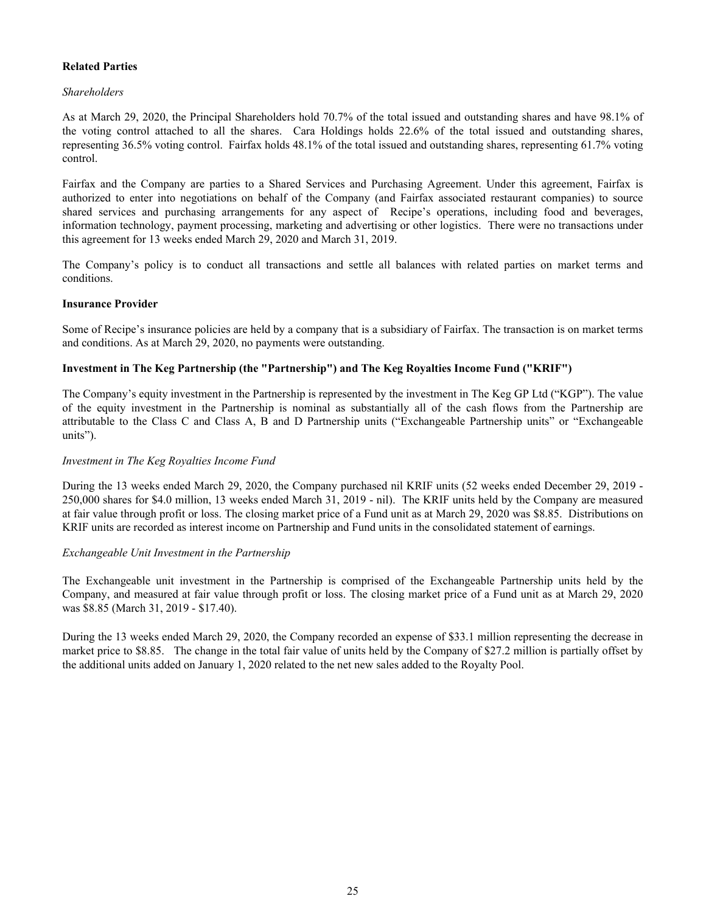# **Related Parties**

# *Shareholders*

As at March 29, 2020, the Principal Shareholders hold 70.7% of the total issued and outstanding shares and have 98.1% of the voting control attached to all the shares. Cara Holdings holds 22.6% of the total issued and outstanding shares, representing 36.5% voting control. Fairfax holds 48.1% of the total issued and outstanding shares, representing 61.7% voting control.

Fairfax and the Company are parties to a Shared Services and Purchasing Agreement. Under this agreement, Fairfax is authorized to enter into negotiations on behalf of the Company (and Fairfax associated restaurant companies) to source shared services and purchasing arrangements for any aspect of Recipe's operations, including food and beverages, information technology, payment processing, marketing and advertising or other logistics. There were no transactions under this agreement for 13 weeks ended March 29, 2020 and March 31, 2019.

The Company's policy is to conduct all transactions and settle all balances with related parties on market terms and conditions.

### **Insurance Provider**

Some of Recipe's insurance policies are held by a company that is a subsidiary of Fairfax. The transaction is on market terms and conditions. As at March 29, 2020, no payments were outstanding.

# **Investment in The Keg Partnership (the "Partnership") and The Keg Royalties Income Fund ("KRIF")**

The Company's equity investment in the Partnership is represented by the investment in The Keg GP Ltd ("KGP"). The value of the equity investment in the Partnership is nominal as substantially all of the cash flows from the Partnership are attributable to the Class C and Class A, B and D Partnership units ("Exchangeable Partnership units" or "Exchangeable units").

### *Investment in The Keg Royalties Income Fund*

During the 13 weeks ended March 29, 2020, the Company purchased nil KRIF units (52 weeks ended December 29, 2019 - 250,000 shares for \$4.0 million, 13 weeks ended March 31, 2019 - nil). The KRIF units held by the Company are measured at fair value through profit or loss. The closing market price of a Fund unit as at March 29, 2020 was \$8.85. Distributions on KRIF units are recorded as interest income on Partnership and Fund units in the consolidated statement of earnings.

# *Exchangeable Unit Investment in the Partnership*

The Exchangeable unit investment in the Partnership is comprised of the Exchangeable Partnership units held by the Company, and measured at fair value through profit or loss. The closing market price of a Fund unit as at March 29, 2020 was \$8.85 (March 31, 2019 - \$17.40).

During the 13 weeks ended March 29, 2020, the Company recorded an expense of \$33.1 million representing the decrease in market price to \$8.85. The change in the total fair value of units held by the Company of \$27.2 million is partially offset by the additional units added on January 1, 2020 related to the net new sales added to the Royalty Pool.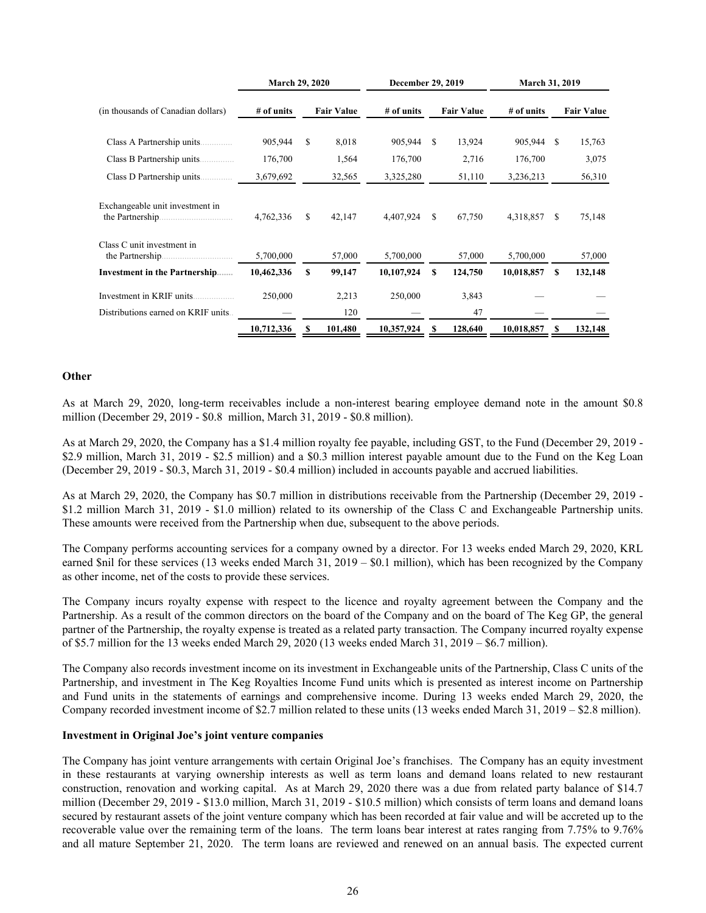|                                                | <b>March 29, 2020</b> |   |                   | December 29, 2019 |    |                   | <b>March 31, 2019</b> |    |                   |  |  |
|------------------------------------------------|-----------------------|---|-------------------|-------------------|----|-------------------|-----------------------|----|-------------------|--|--|
| (in thousands of Canadian dollars)             | # of units            |   | <b>Fair Value</b> | # of units        |    | <b>Fair Value</b> | # of units            |    | <b>Fair Value</b> |  |  |
|                                                | 905,944               | S | 8,018             | 905,944           | S  | 13,924            | 905,944               | S  | 15,763            |  |  |
| Class B Partnership units.                     | 176,700               |   | 1,564             | 176,700           |    | 2,716             | 176,700               |    | 3,075             |  |  |
| Class D Partnership units.<br>.                | 3,679,692             |   | 32,565            | 3,325,280         |    | 51,110            | 3,236,213             |    | 56,310            |  |  |
| Exchangeable unit investment in                | 4,762,336             | S | 42,147            | 4,407,924         | S  | 67,750            | 4,318,857             | \$ | 75,148            |  |  |
| Class C unit investment in<br>the Partnership. | 5,700,000             |   | 57,000            | 5,700,000         |    | 57,000            | 5,700,000             |    | 57,000            |  |  |
| Investment in the Partnership                  | 10,462,336            | S | 99,147            | 10,107,924        | \$ | 124,750           | 10,018,857            | S  | 132,148           |  |  |
| Investment in KRIF units                       | 250,000               |   | 2,213             | 250,000           |    | 3,843             |                       |    |                   |  |  |
| Distributions earned on KRIF units             |                       |   | 120               |                   |    | 47                |                       |    |                   |  |  |
|                                                | 10,712,336            |   | 101,480           | 10,357,924        |    | 128,640           | 10,018,857            | S  | 132,148           |  |  |

#### **Other**

As at March 29, 2020, long-term receivables include a non-interest bearing employee demand note in the amount \$0.8 million (December 29, 2019 - \$0.8 million, March 31, 2019 - \$0.8 million).

As at March 29, 2020, the Company has a \$1.4 million royalty fee payable, including GST, to the Fund (December 29, 2019 - \$2.9 million, March 31, 2019 - \$2.5 million) and a \$0.3 million interest payable amount due to the Fund on the Keg Loan (December 29, 2019 - \$0.3, March 31, 2019 - \$0.4 million) included in accounts payable and accrued liabilities.

As at March 29, 2020, the Company has \$0.7 million in distributions receivable from the Partnership (December 29, 2019 - \$1.2 million March 31, 2019 - \$1.0 million) related to its ownership of the Class C and Exchangeable Partnership units. These amounts were received from the Partnership when due, subsequent to the above periods.

The Company performs accounting services for a company owned by a director. For 13 weeks ended March 29, 2020, KRL earned \$nil for these services (13 weeks ended March 31, 2019 – \$0.1 million), which has been recognized by the Company as other income, net of the costs to provide these services.

The Company incurs royalty expense with respect to the licence and royalty agreement between the Company and the Partnership. As a result of the common directors on the board of the Company and on the board of The Keg GP, the general partner of the Partnership, the royalty expense is treated as a related party transaction. The Company incurred royalty expense of \$5.7 million for the 13 weeks ended March 29, 2020 (13 weeks ended March 31, 2019 – \$6.7 million).

The Company also records investment income on its investment in Exchangeable units of the Partnership, Class C units of the Partnership, and investment in The Keg Royalties Income Fund units which is presented as interest income on Partnership and Fund units in the statements of earnings and comprehensive income. During 13 weeks ended March 29, 2020, the Company recorded investment income of \$2.7 million related to these units (13 weeks ended March 31, 2019 – \$2.8 million).

#### **Investment in Original Joe's joint venture companies**

The Company has joint venture arrangements with certain Original Joe's franchises. The Company has an equity investment in these restaurants at varying ownership interests as well as term loans and demand loans related to new restaurant construction, renovation and working capital. As at March 29, 2020 there was a due from related party balance of \$14.7 million (December 29, 2019 - \$13.0 million, March 31, 2019 - \$10.5 million) which consists of term loans and demand loans secured by restaurant assets of the joint venture company which has been recorded at fair value and will be accreted up to the recoverable value over the remaining term of the loans. The term loans bear interest at rates ranging from 7.75% to 9.76% and all mature September 21, 2020. The term loans are reviewed and renewed on an annual basis. The expected current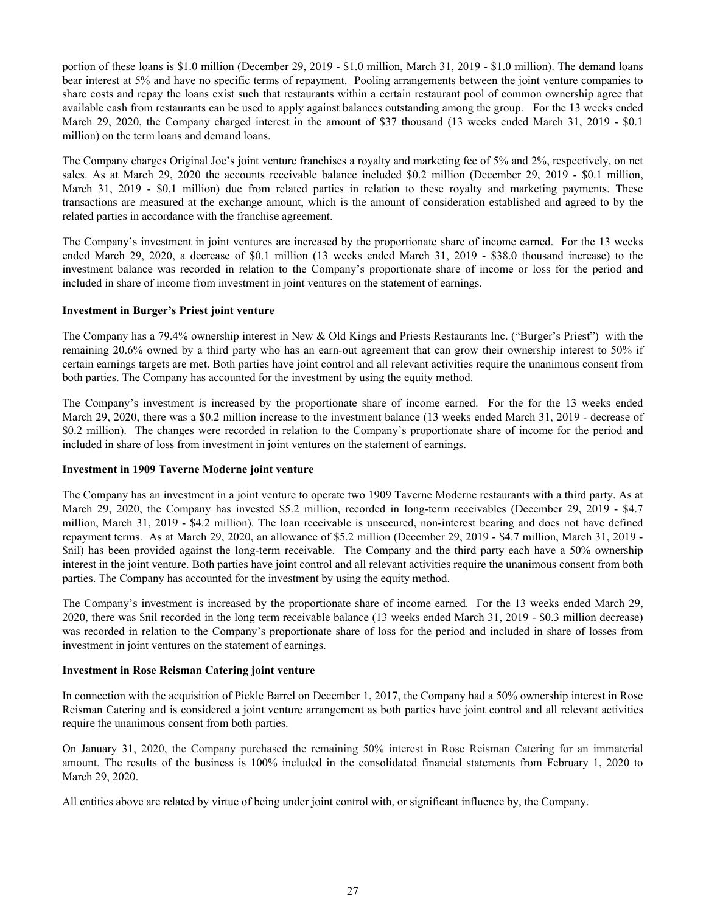portion of these loans is \$1.0 million (December 29, 2019 - \$1.0 million, March 31, 2019 - \$1.0 million). The demand loans bear interest at 5% and have no specific terms of repayment. Pooling arrangements between the joint venture companies to share costs and repay the loans exist such that restaurants within a certain restaurant pool of common ownership agree that available cash from restaurants can be used to apply against balances outstanding among the group. For the 13 weeks ended March 29, 2020, the Company charged interest in the amount of \$37 thousand (13 weeks ended March 31, 2019 - \$0.1 million) on the term loans and demand loans.

The Company charges Original Joe's joint venture franchises a royalty and marketing fee of 5% and 2%, respectively, on net sales. As at March 29, 2020 the accounts receivable balance included \$0.2 million (December 29, 2019 - \$0.1 million, March 31, 2019 - \$0.1 million) due from related parties in relation to these royalty and marketing payments. These transactions are measured at the exchange amount, which is the amount of consideration established and agreed to by the related parties in accordance with the franchise agreement.

The Company's investment in joint ventures are increased by the proportionate share of income earned. For the 13 weeks ended March 29, 2020, a decrease of \$0.1 million (13 weeks ended March 31, 2019 - \$38.0 thousand increase) to the investment balance was recorded in relation to the Company's proportionate share of income or loss for the period and included in share of income from investment in joint ventures on the statement of earnings.

# **Investment in Burger's Priest joint venture**

The Company has a 79.4% ownership interest in New & Old Kings and Priests Restaurants Inc. ("Burger's Priest") with the remaining 20.6% owned by a third party who has an earn-out agreement that can grow their ownership interest to 50% if certain earnings targets are met. Both parties have joint control and all relevant activities require the unanimous consent from both parties. The Company has accounted for the investment by using the equity method.

The Company's investment is increased by the proportionate share of income earned. For the for the 13 weeks ended March 29, 2020, there was a \$0.2 million increase to the investment balance (13 weeks ended March 31, 2019 - decrease of \$0.2 million). The changes were recorded in relation to the Company's proportionate share of income for the period and included in share of loss from investment in joint ventures on the statement of earnings.

#### **Investment in 1909 Taverne Moderne joint venture**

The Company has an investment in a joint venture to operate two 1909 Taverne Moderne restaurants with a third party. As at March 29, 2020, the Company has invested \$5.2 million, recorded in long-term receivables (December 29, 2019 - \$4.7 million, March 31, 2019 - \$4.2 million). The loan receivable is unsecured, non-interest bearing and does not have defined repayment terms. As at March 29, 2020, an allowance of \$5.2 million (December 29, 2019 - \$4.7 million, March 31, 2019 - \$nil) has been provided against the long-term receivable. The Company and the third party each have a 50% ownership interest in the joint venture. Both parties have joint control and all relevant activities require the unanimous consent from both parties. The Company has accounted for the investment by using the equity method.

The Company's investment is increased by the proportionate share of income earned. For the 13 weeks ended March 29, 2020, there was \$nil recorded in the long term receivable balance (13 weeks ended March 31, 2019 - \$0.3 million decrease) was recorded in relation to the Company's proportionate share of loss for the period and included in share of losses from investment in joint ventures on the statement of earnings.

#### **Investment in Rose Reisman Catering joint venture**

In connection with the acquisition of Pickle Barrel on December 1, 2017, the Company had a 50% ownership interest in Rose Reisman Catering and is considered a joint venture arrangement as both parties have joint control and all relevant activities require the unanimous consent from both parties.

On January 31, 2020, the Company purchased the remaining 50% interest in Rose Reisman Catering for an immaterial amount. The results of the business is 100% included in the consolidated financial statements from February 1, 2020 to March 29, 2020.

All entities above are related by virtue of being under joint control with, or significant influence by, the Company.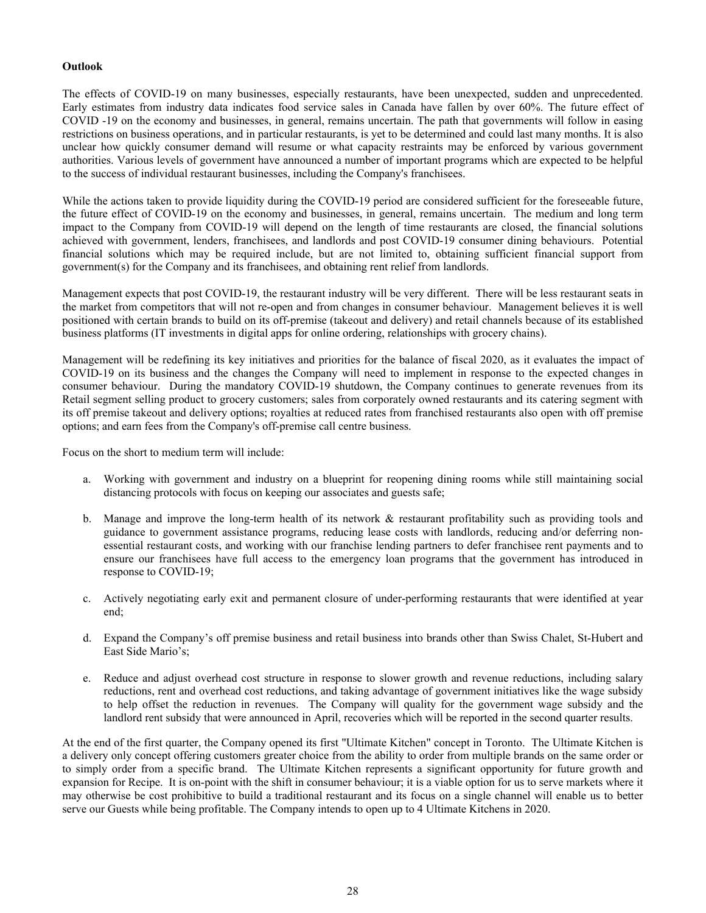# **Outlook**

The effects of COVID-19 on many businesses, especially restaurants, have been unexpected, sudden and unprecedented. Early estimates from industry data indicates food service sales in Canada have fallen by over 60%. The future effect of COVID -19 on the economy and businesses, in general, remains uncertain. The path that governments will follow in easing restrictions on business operations, and in particular restaurants, is yet to be determined and could last many months. It is also unclear how quickly consumer demand will resume or what capacity restraints may be enforced by various government authorities. Various levels of government have announced a number of important programs which are expected to be helpful to the success of individual restaurant businesses, including the Company's franchisees.

While the actions taken to provide liquidity during the COVID-19 period are considered sufficient for the foreseeable future, the future effect of COVID-19 on the economy and businesses, in general, remains uncertain. The medium and long term impact to the Company from COVID-19 will depend on the length of time restaurants are closed, the financial solutions achieved with government, lenders, franchisees, and landlords and post COVID-19 consumer dining behaviours. Potential financial solutions which may be required include, but are not limited to, obtaining sufficient financial support from government(s) for the Company and its franchisees, and obtaining rent relief from landlords.

Management expects that post COVID-19, the restaurant industry will be very different. There will be less restaurant seats in the market from competitors that will not re-open and from changes in consumer behaviour. Management believes it is well positioned with certain brands to build on its off-premise (takeout and delivery) and retail channels because of its established business platforms (IT investments in digital apps for online ordering, relationships with grocery chains).

Management will be redefining its key initiatives and priorities for the balance of fiscal 2020, as it evaluates the impact of COVID-19 on its business and the changes the Company will need to implement in response to the expected changes in consumer behaviour. During the mandatory COVID-19 shutdown, the Company continues to generate revenues from its Retail segment selling product to grocery customers; sales from corporately owned restaurants and its catering segment with its off premise takeout and delivery options; royalties at reduced rates from franchised restaurants also open with off premise options; and earn fees from the Company's off-premise call centre business.

Focus on the short to medium term will include:

- a. Working with government and industry on a blueprint for reopening dining rooms while still maintaining social distancing protocols with focus on keeping our associates and guests safe;
- b. Manage and improve the long-term health of its network & restaurant profitability such as providing tools and guidance to government assistance programs, reducing lease costs with landlords, reducing and/or deferring nonessential restaurant costs, and working with our franchise lending partners to defer franchisee rent payments and to ensure our franchisees have full access to the emergency loan programs that the government has introduced in response to COVID-19;
- c. Actively negotiating early exit and permanent closure of under-performing restaurants that were identified at year end;
- d. Expand the Company's off premise business and retail business into brands other than Swiss Chalet, St-Hubert and East Side Mario's;
- e. Reduce and adjust overhead cost structure in response to slower growth and revenue reductions, including salary reductions, rent and overhead cost reductions, and taking advantage of government initiatives like the wage subsidy to help offset the reduction in revenues. The Company will quality for the government wage subsidy and the landlord rent subsidy that were announced in April, recoveries which will be reported in the second quarter results.

At the end of the first quarter, the Company opened its first "Ultimate Kitchen" concept in Toronto. The Ultimate Kitchen is a delivery only concept offering customers greater choice from the ability to order from multiple brands on the same order or to simply order from a specific brand. The Ultimate Kitchen represents a significant opportunity for future growth and expansion for Recipe. It is on-point with the shift in consumer behaviour; it is a viable option for us to serve markets where it may otherwise be cost prohibitive to build a traditional restaurant and its focus on a single channel will enable us to better serve our Guests while being profitable. The Company intends to open up to 4 Ultimate Kitchens in 2020.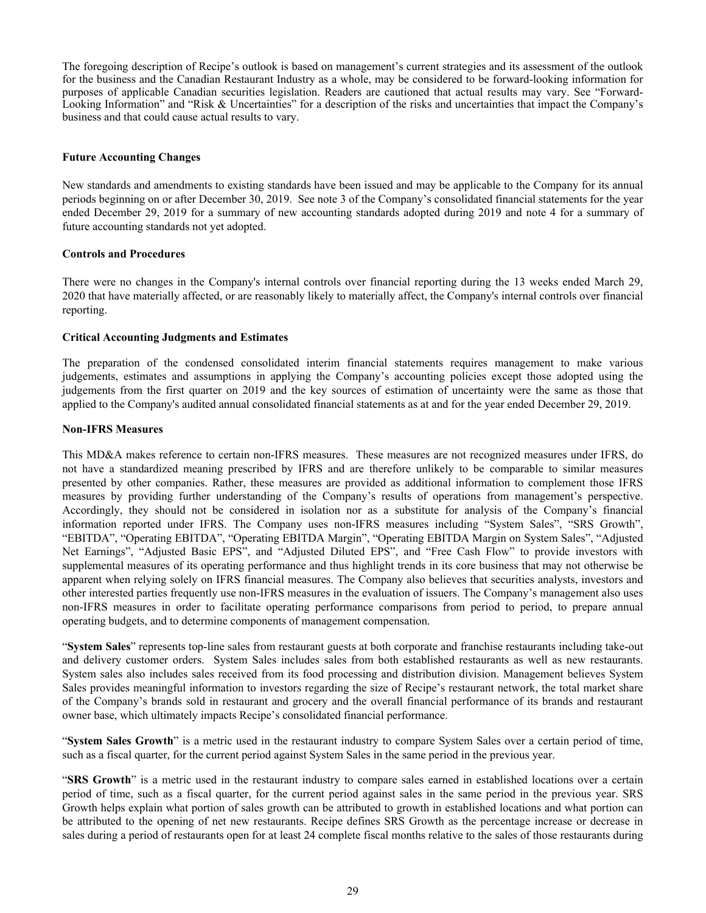The foregoing description of Recipe's outlook is based on management's current strategies and its assessment of the outlook for the business and the Canadian Restaurant Industry as a whole, may be considered to be forward-looking information for purposes of applicable Canadian securities legislation. Readers are cautioned that actual results may vary. See "Forward-Looking Information" and "Risk & Uncertainties" for a description of the risks and uncertainties that impact the Company's business and that could cause actual results to vary.

### **Future Accounting Changes**

New standards and amendments to existing standards have been issued and may be applicable to the Company for its annual periods beginning on or after December 30, 2019. See note 3 of the Company's consolidated financial statements for the year ended December 29, 2019 for a summary of new accounting standards adopted during 2019 and note 4 for a summary of future accounting standards not yet adopted.

### **Controls and Procedures**

There were no changes in the Company's internal controls over financial reporting during the 13 weeks ended March 29, 2020 that have materially affected, or are reasonably likely to materially affect, the Company's internal controls over financial reporting.

### **Critical Accounting Judgments and Estimates**

The preparation of the condensed consolidated interim financial statements requires management to make various judgements, estimates and assumptions in applying the Company's accounting policies except those adopted using the judgements from the first quarter on 2019 and the key sources of estimation of uncertainty were the same as those that applied to the Company's audited annual consolidated financial statements as at and for the year ended December 29, 2019.

#### **Non-IFRS Measures**

This MD&A makes reference to certain non-IFRS measures. These measures are not recognized measures under IFRS, do not have a standardized meaning prescribed by IFRS and are therefore unlikely to be comparable to similar measures presented by other companies. Rather, these measures are provided as additional information to complement those IFRS measures by providing further understanding of the Company's results of operations from management's perspective. Accordingly, they should not be considered in isolation nor as a substitute for analysis of the Company's financial information reported under IFRS. The Company uses non-IFRS measures including "System Sales", "SRS Growth", "EBITDA", "Operating EBITDA", "Operating EBITDA Margin", "Operating EBITDA Margin on System Sales", "Adjusted Net Earnings", "Adjusted Basic EPS", and "Adjusted Diluted EPS", and "Free Cash Flow" to provide investors with supplemental measures of its operating performance and thus highlight trends in its core business that may not otherwise be apparent when relying solely on IFRS financial measures. The Company also believes that securities analysts, investors and other interested parties frequently use non-IFRS measures in the evaluation of issuers. The Company's management also uses non-IFRS measures in order to facilitate operating performance comparisons from period to period, to prepare annual operating budgets, and to determine components of management compensation.

"**System Sales**" represents top-line sales from restaurant guests at both corporate and franchise restaurants including take-out and delivery customer orders. System Sales includes sales from both established restaurants as well as new restaurants. System sales also includes sales received from its food processing and distribution division. Management believes System Sales provides meaningful information to investors regarding the size of Recipe's restaurant network, the total market share of the Company's brands sold in restaurant and grocery and the overall financial performance of its brands and restaurant owner base, which ultimately impacts Recipe's consolidated financial performance.

"**System Sales Growth**" is a metric used in the restaurant industry to compare System Sales over a certain period of time, such as a fiscal quarter, for the current period against System Sales in the same period in the previous year.

"**SRS Growth**" is a metric used in the restaurant industry to compare sales earned in established locations over a certain period of time, such as a fiscal quarter, for the current period against sales in the same period in the previous year. SRS Growth helps explain what portion of sales growth can be attributed to growth in established locations and what portion can be attributed to the opening of net new restaurants. Recipe defines SRS Growth as the percentage increase or decrease in sales during a period of restaurants open for at least 24 complete fiscal months relative to the sales of those restaurants during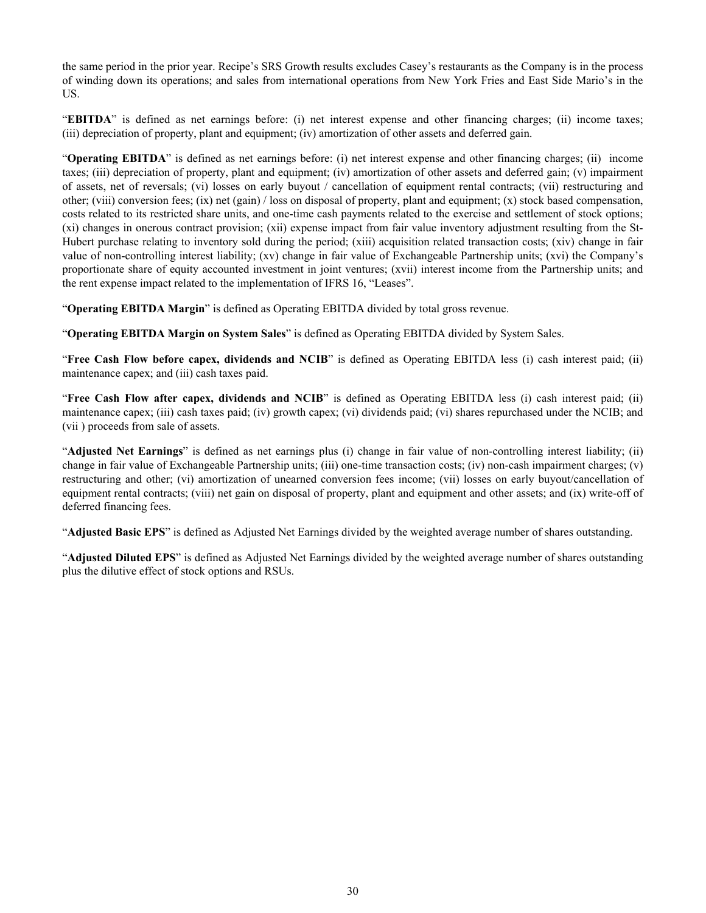the same period in the prior year. Recipe's SRS Growth results excludes Casey's restaurants as the Company is in the process of winding down its operations; and sales from international operations from New York Fries and East Side Mario's in the US.

"**EBITDA**" is defined as net earnings before: (i) net interest expense and other financing charges; (ii) income taxes; (iii) depreciation of property, plant and equipment; (iv) amortization of other assets and deferred gain.

"**Operating EBITDA**" is defined as net earnings before: (i) net interest expense and other financing charges; (ii) income taxes; (iii) depreciation of property, plant and equipment; (iv) amortization of other assets and deferred gain; (v) impairment of assets, net of reversals; (vi) losses on early buyout / cancellation of equipment rental contracts; (vii) restructuring and other; (viii) conversion fees; (ix) net (gain) / loss on disposal of property, plant and equipment; (x) stock based compensation, costs related to its restricted share units, and one-time cash payments related to the exercise and settlement of stock options; (xi) changes in onerous contract provision; (xii) expense impact from fair value inventory adjustment resulting from the St-Hubert purchase relating to inventory sold during the period; (xiii) acquisition related transaction costs; (xiv) change in fair value of non-controlling interest liability; (xv) change in fair value of Exchangeable Partnership units; (xvi) the Company's proportionate share of equity accounted investment in joint ventures; (xvii) interest income from the Partnership units; and the rent expense impact related to the implementation of IFRS 16, "Leases".

"**Operating EBITDA Margin**" is defined as Operating EBITDA divided by total gross revenue.

"**Operating EBITDA Margin on System Sales**" is defined as Operating EBITDA divided by System Sales.

"**Free Cash Flow before capex, dividends and NCIB**" is defined as Operating EBITDA less (i) cash interest paid; (ii) maintenance capex; and (iii) cash taxes paid.

"**Free Cash Flow after capex, dividends and NCIB**" is defined as Operating EBITDA less (i) cash interest paid; (ii) maintenance capex; (iii) cash taxes paid; (iv) growth capex; (vi) dividends paid; (vi) shares repurchased under the NCIB; and (vii ) proceeds from sale of assets.

"**Adjusted Net Earnings**" is defined as net earnings plus (i) change in fair value of non-controlling interest liability; (ii) change in fair value of Exchangeable Partnership units; (iii) one-time transaction costs; (iv) non-cash impairment charges; (v) restructuring and other; (vi) amortization of unearned conversion fees income; (vii) losses on early buyout/cancellation of equipment rental contracts; (viii) net gain on disposal of property, plant and equipment and other assets; and (ix) write-off of deferred financing fees.

"**Adjusted Basic EPS**" is defined as Adjusted Net Earnings divided by the weighted average number of shares outstanding.

"**Adjusted Diluted EPS**" is defined as Adjusted Net Earnings divided by the weighted average number of shares outstanding plus the dilutive effect of stock options and RSUs.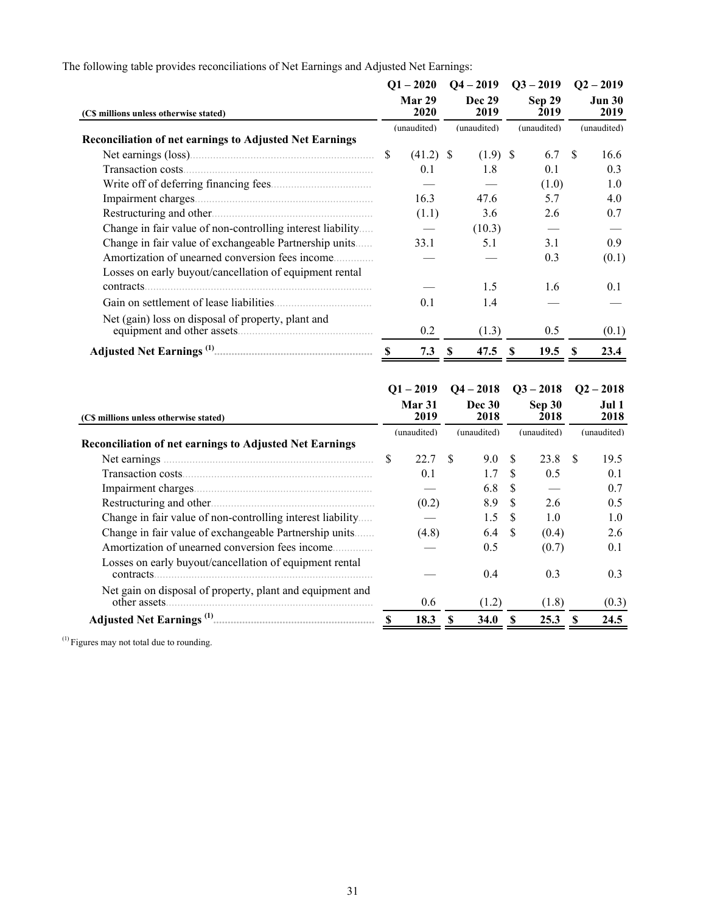The following table provides reconciliations of Net Earnings and Adjusted Net Earnings:

|                                                                |                | $Q1 - 2020$ | $Q4 - 2019$ |                       | $Q3 - 2019$ |                |               | $Q2 - 2019$           |
|----------------------------------------------------------------|----------------|-------------|-------------|-----------------------|-------------|----------------|---------------|-----------------------|
| (C\$ millions unless otherwise stated)                         | Mar 29<br>2020 |             |             | <b>Dec 29</b><br>2019 |             | Sep 29<br>2019 |               | <b>Jun 30</b><br>2019 |
|                                                                |                | (unaudited) |             | (unaudited)           |             | (unaudited)    |               | (unaudited)           |
| <b>Reconciliation of net earnings to Adjusted Net Earnings</b> |                |             |             |                       |             |                |               |                       |
|                                                                | \$             | $(41.2)$ \$ |             | $(1.9)$ \$            |             | 6.7            | <sup>\$</sup> | 16.6                  |
|                                                                |                | 0.1         |             | 1.8                   |             | 0.1            |               | 0.3                   |
|                                                                |                |             |             |                       |             | (1.0)          |               | 1.0                   |
|                                                                |                | 16.3        |             | 47.6                  |             | 5.7            |               | 4.0                   |
|                                                                |                | (1.1)       |             | 3.6                   |             | 2.6            |               | 0.7                   |
| Change in fair value of non-controlling interest liability     |                |             |             | (10.3)                |             |                |               |                       |
| Change in fair value of exchangeable Partnership units         |                | 33.1        |             | 5.1                   |             | 3.1            |               | 0.9                   |
| Amortization of unearned conversion fees income                |                |             |             |                       |             | 0.3            |               | (0.1)                 |
| Losses on early buyout/cancellation of equipment rental        |                |             |             |                       |             |                |               |                       |
| contracts.                                                     |                |             |             | 1.5                   |             | 1.6            |               | 0.1                   |
|                                                                |                | 0.1         |             | 1.4                   |             |                |               |                       |
| Net (gain) loss on disposal of property, plant and             |                |             |             |                       |             |                |               |                       |
|                                                                |                | 0.2         |             | (1.3)                 |             | 0.5            |               | (0.1)                 |
|                                                                | -S             | 7.3         | -S          | 47.5                  | -S          | 19.5           | -SS           | 23.4                  |
|                                                                |                |             |             |                       |             |                |               |                       |
|                                                                |                | $O1 - 2019$ |             | $O4 - 2018$           |             | $Q3 - 2018$    |               | $Q_2 - 2018$          |

| (C\$ millions unless otherwise stated)                                     |          | <b>Mar 31</b><br>2019 |    | <b>Dec 30</b><br>2018 |    | Sep 30<br>2018 |      | Jul 1<br>2018 |
|----------------------------------------------------------------------------|----------|-----------------------|----|-----------------------|----|----------------|------|---------------|
|                                                                            |          | (unaudited)           |    | (unaudited)           |    | (unaudited)    |      | (unaudited)   |
| <b>Reconciliation of net earnings to Adjusted Net Earnings</b>             |          |                       |    |                       |    |                |      |               |
| Net earnings.                                                              | <b>S</b> | 22.7                  | £. | 9.0                   | -S | 23.8           | - \$ | 19.5          |
| Transaction costs                                                          |          | 0.1                   |    | 1.7                   | -S | 0.5            |      | 0.1           |
| Impairment charges                                                         |          |                       |    | 6.8                   | -S |                |      | 0.7           |
|                                                                            |          | (0.2)                 |    | 8.9                   | S. | 2.6            |      | 0.5           |
| Change in fair value of non-controlling interest liability                 |          |                       |    | 1.5                   | -S | 1.0            |      | 1.0           |
| Change in fair value of exchangeable Partnership units                     |          | (4.8)                 |    | 6.4                   | -S | (0.4)          |      | 2.6           |
| Amortization of unearned conversion fees income                            |          |                       |    | 0.5                   |    | (0.7)          |      | 0.1           |
| Losses on early buyout/cancellation of equipment rental<br>contracts.      |          |                       |    | 0.4                   |    | 0.3            |      | 0.3           |
| Net gain on disposal of property, plant and equipment and<br>other assets. |          | 0.6                   |    | (1.2)                 |    | (1.8)          |      | (0.3)         |
| <b>Adjusted Net Earnings</b> <sup>(1)</sup>                                |          | 18.3                  |    | 34.0                  |    | 25.3           |      | 24.5          |

 $<sup>(1)</sup>$  Figures may not total due to rounding.</sup>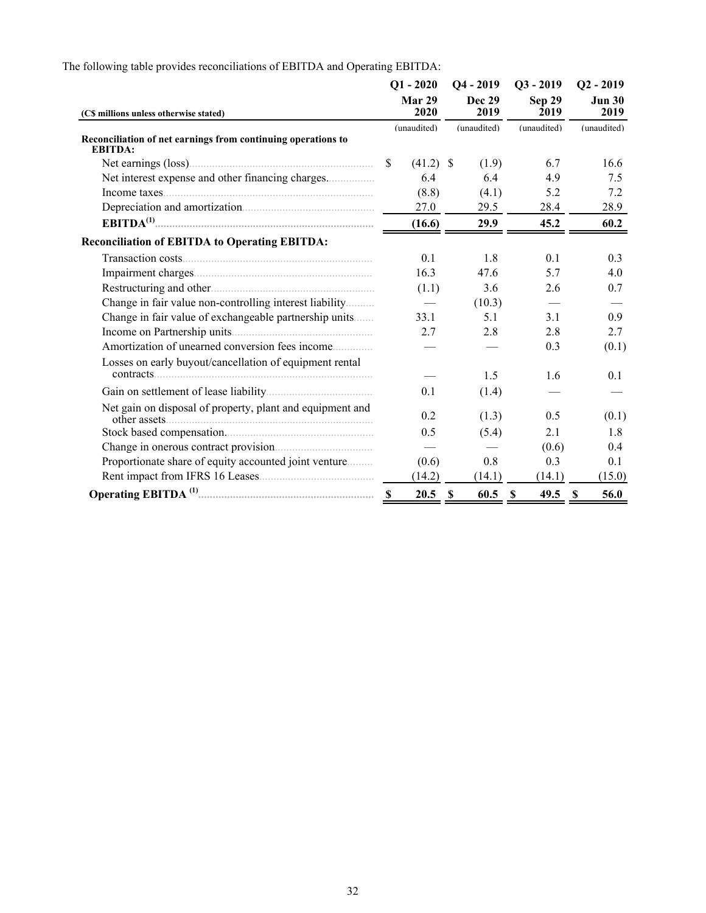|                                                                                |                | $Q1 - 2020$ |    | $Q4 - 2019$           | $Q3 - 2019$    | $Q2 - 2019$           |
|--------------------------------------------------------------------------------|----------------|-------------|----|-----------------------|----------------|-----------------------|
| (C\$ millions unless otherwise stated)                                         | Mar 29<br>2020 |             |    | <b>Dec 29</b><br>2019 | Sep 29<br>2019 | <b>Jun 30</b><br>2019 |
| Reconciliation of net earnings from continuing operations to<br><b>EBITDA:</b> |                | (unaudited) |    | (unaudited)           | (unaudited)    | (unaudited)           |
|                                                                                | \$             | $(41.2)$ \$ |    | (1.9)                 | 6.7            | 16.6                  |
| Net interest expense and other financing charges                               |                | 6.4         |    | 6.4                   | 4.9            | 7.5                   |
|                                                                                |                | (8.8)       |    | (4.1)                 | 5.2            | 7.2                   |
|                                                                                |                | 27.0        |    | 29.5                  | 28.4           | 28.9                  |
|                                                                                |                | (16.6)      |    | 29.9                  | 45.2           | 60.2                  |
| <b>Reconciliation of EBITDA to Operating EBITDA:</b>                           |                |             |    |                       |                |                       |
|                                                                                |                | 0.1         |    | 1.8                   | 0.1            | 0.3                   |
|                                                                                |                | 16.3        |    | 47.6                  | 5.7            | 4.0                   |
|                                                                                |                | (1.1)       |    | 3.6                   | 2.6            | 0.7                   |
| Change in fair value non-controlling interest liability                        |                |             |    | (10.3)                |                |                       |
| Change in fair value of exchangeable partnership units                         |                | 33.1        |    | 5.1                   | 3.1            | 0.9                   |
|                                                                                |                | 2.7         |    | 2.8                   | 2.8            | 2.7                   |
| Amortization of unearned conversion fees income                                |                |             |    |                       | 0.3            | (0.1)                 |
| Losses on early buyout/cancellation of equipment rental                        |                |             |    |                       |                |                       |
|                                                                                |                |             |    | 1.5                   | 1.6            | 0.1                   |
|                                                                                |                | 0.1         |    | (1.4)                 |                |                       |
| Net gain on disposal of property, plant and equipment and                      |                | 0.2         |    | (1.3)                 | 0.5            | (0.1)                 |
| Stock based compensation.                                                      |                | 0.5         |    | (5.4)                 | 2.1            | 1.8                   |
|                                                                                |                |             |    |                       | (0.6)          | 0.4                   |
| Proportionate share of equity accounted joint venture                          |                | (0.6)       |    | 0.8                   | 0.3            | 0.1                   |
|                                                                                |                | (14.2)      |    | (14.1)                | (14.1)         | (15.0)                |
|                                                                                |                | 20.5        | -S | 60.5 S                | $49.5$ \$      | 56.0                  |

The following table provides reconciliations of EBITDA and Operating EBITDA: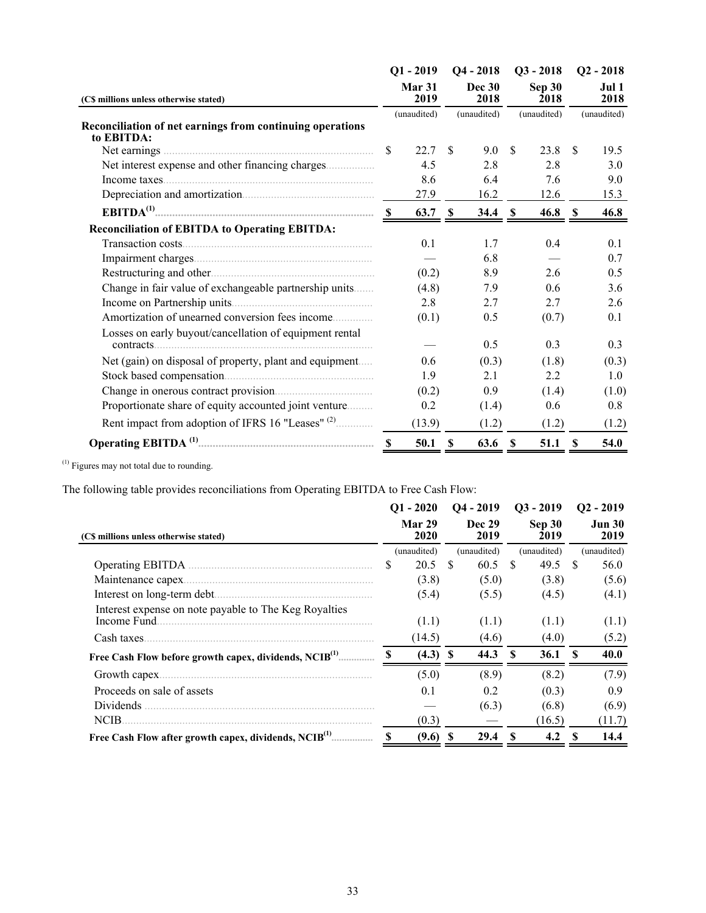|                                                                                                                   | $Q1 - 2019$ |                       |               | $Q4 - 2018$    |              | $Q3 - 2018$    | $Q2 - 2018$   |             |  |
|-------------------------------------------------------------------------------------------------------------------|-------------|-----------------------|---------------|----------------|--------------|----------------|---------------|-------------|--|
| (C\$ millions unless otherwise stated)<br>Reconciliation of net earnings from continuing operations<br>to EBITDA: |             | <b>Mar 31</b><br>2019 |               | Dec 30<br>2018 |              | Sep 30<br>2018 | Jul 1<br>2018 |             |  |
|                                                                                                                   |             | (unaudited)           |               | (unaudited)    |              | (unaudited)    |               | (unaudited) |  |
|                                                                                                                   | \$          | 22.7                  | <sup>\$</sup> | 9.0            | \$           | 23.8           | \$            | 19.5        |  |
|                                                                                                                   |             | 4.5                   |               | 2.8            |              | 2.8            |               | 3.0         |  |
| Income taxes                                                                                                      |             | 8.6                   |               | 6.4            |              | 7.6            |               | 9.0         |  |
|                                                                                                                   |             | 27.9                  |               | 16.2           |              | 12.6           |               | 15.3        |  |
|                                                                                                                   |             | 63.7 S                |               | 34.4           | <sup>S</sup> | 46.8 S         |               | 46.8        |  |
| <b>Reconciliation of EBITDA to Operating EBITDA:</b>                                                              |             |                       |               |                |              |                |               |             |  |
|                                                                                                                   |             | 0.1                   |               | 1.7            |              | 0.4            |               | 0.1         |  |
|                                                                                                                   |             |                       |               | 6.8            |              |                |               | 0.7         |  |
|                                                                                                                   |             | (0.2)                 |               | 8.9            |              | 2.6            |               | 0.5         |  |
| Change in fair value of exchangeable partnership units                                                            |             | (4.8)                 |               | 7.9            |              | 0.6            |               | 3.6         |  |
|                                                                                                                   |             | 2.8                   |               | 2.7            |              | 2.7            |               | 2.6         |  |
| Amortization of unearned conversion fees income                                                                   |             | (0.1)                 |               | 0.5            |              | (0.7)          |               | 0.1         |  |
| Losses on early buyout/cancellation of equipment rental<br>contracts.                                             |             |                       |               | 0.5            |              | 0.3            |               | 0.3         |  |
| Net (gain) on disposal of property, plant and equipment                                                           |             | 0.6                   |               | (0.3)          |              | (1.8)          |               | (0.3)       |  |
|                                                                                                                   |             | 1.9                   |               | 2.1            |              | 2.2            |               | 1.0         |  |
|                                                                                                                   |             | (0.2)                 |               | 0.9            |              | (1.4)          |               | (1.0)       |  |
| Proportionate share of equity accounted joint venture                                                             |             | 0.2                   |               | (1.4)          |              | 0.6            |               | 0.8         |  |
| Rent impact from adoption of IFRS 16 "Leases" <sup>(2)</sup>                                                      |             | (13.9)                |               | (1.2)          |              | (1.2)          |               | (1.2)       |  |
|                                                                                                                   |             | 50.1                  | -S            | 63.6           | - \$         | 51.1           | $\mathbf{s}$  | 54.0        |  |

 $<sup>(1)</sup>$  Figures may not total due to rounding.</sup>

The following table provides reconciliations from Operating EBITDA to Free Cash Flow:

|                                                                       | $Q1 - 2020$ |                |    | $Q4 - 2019$           |    | $Q3 - 2019$    | $Q2 - 2019$           |             |  |
|-----------------------------------------------------------------------|-------------|----------------|----|-----------------------|----|----------------|-----------------------|-------------|--|
| (C\$ millions unless otherwise stated)                                |             | Mar 29<br>2020 |    | <b>Dec 29</b><br>2019 |    | Sep 30<br>2019 | <b>Jun 30</b><br>2019 |             |  |
|                                                                       |             | (unaudited)    |    | (unaudited)           |    | (unaudited)    |                       | (unaudited) |  |
|                                                                       | S           | 20.5           | -S | 60.5                  | -S | 49.5           | -S                    | 56.0        |  |
| Maintenance capex.                                                    |             | (3.8)          |    | (5.0)                 |    | (3.8)          |                       | (5.6)       |  |
| Interest on long-term debt                                            |             | (5.4)          |    | (5.5)                 |    | (4.5)          |                       | (4.1)       |  |
| Interest expense on note payable to The Keg Royalties<br>Income Fund. |             | (1.1)          |    | (1.1)                 |    | (1.1)          |                       | (1.1)       |  |
| Cash taxes.                                                           |             | (14.5)         |    | (4.6)                 |    | (4.0)          |                       | (5.2)       |  |
| Free Cash Flow before growth capex, dividends, NCIB <sup>(1)</sup>    |             | $(4.3)$ \$     |    | 44.3                  | S  | 36.1           | -S                    | 40.0        |  |
| Growth capex                                                          |             | (5.0)          |    | (8.9)                 |    | (8.2)          |                       | (7.9)       |  |
| Proceeds on sale of assets                                            |             | 0.1            |    | 0.2                   |    | (0.3)          |                       | 0.9         |  |
| <b>Dividends</b>                                                      |             |                |    | (6.3)                 |    | (6.8)          |                       | (6.9)       |  |
| NCIB.                                                                 |             | (0.3)          |    |                       |    | (16.5)         |                       | (11.7)      |  |
| Free Cash Flow after growth capex, dividends, NCIB <sup>(1)</sup>     | S           | (9.6)          | -S | 29.4                  | S  | 4.2            | -S                    | 14.4        |  |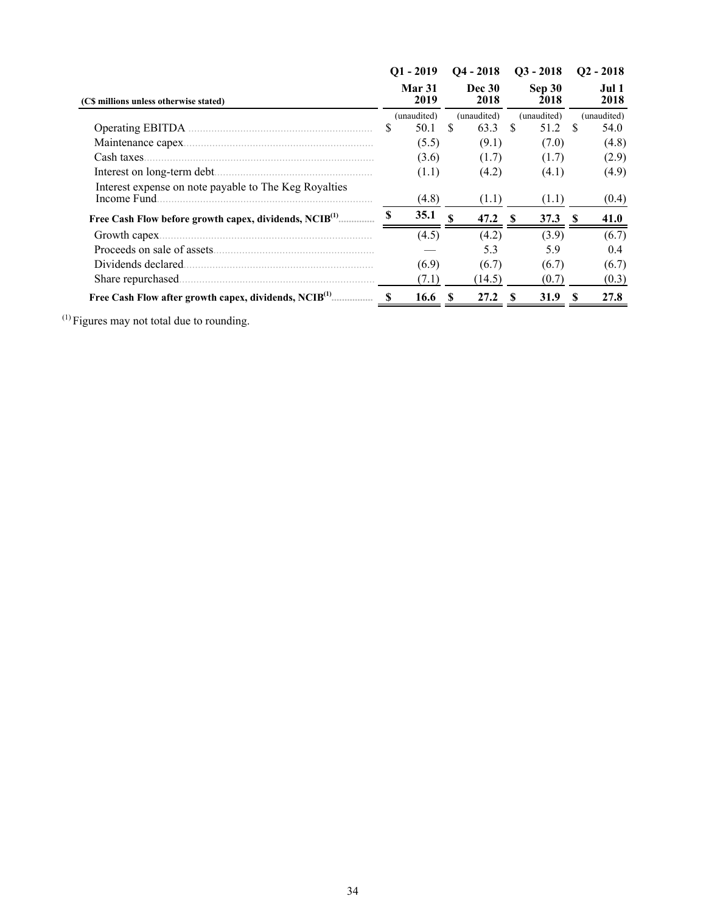|                                                                      |          | $O1 - 2019$           |                        | $O4 - 2018$ |                | $Q3 - 2018$ | $Q2 - 2018$   |             |  |
|----------------------------------------------------------------------|----------|-----------------------|------------------------|-------------|----------------|-------------|---------------|-------------|--|
| (C\$ millions unless otherwise stated)                               |          | <b>Mar 31</b><br>2019 | <b>Dec 30</b><br>2018  |             | Sep 30<br>2018 |             | Jul 1<br>2018 |             |  |
|                                                                      |          | (unaudited)           |                        | (unaudited) |                | (unaudited) |               | (unaudited) |  |
| Operating EBITDA.                                                    | S        | 50.1                  | \$.                    | 63.3        | \$.            | 51.2        | -S            | 54.0        |  |
| Maintenance capex.                                                   |          | (5.5)                 |                        | (9.1)       |                | (7.0)       |               | (4.8)       |  |
| Cash taxes.                                                          |          | (3.6)                 |                        | (1.7)       |                | (1.7)       |               | (2.9)       |  |
|                                                                      |          | (1.1)                 |                        | (4.2)       |                | (4.1)       |               | (4.9)       |  |
| Interest expense on note payable to The Keg Royalties<br>Income Fund |          | (4.8)                 |                        | (1.1)       |                | (1.1)       |               | (0.4)       |  |
| Free Cash Flow before growth capex, dividends, NCIB <sup>(1)</sup>   | <b>S</b> | 35.1                  | $\mathbf{\mathcal{S}}$ | 47.2        | S              | 37.3        | -S            | 41.0        |  |
| Growth capex.                                                        |          | (4.5)                 |                        | (4.2)       |                | (3.9)       |               | (6.7)       |  |
| Proceeds on sale of assets                                           |          |                       |                        | 5.3         |                | 5.9         |               | 0.4         |  |
| Dividends declared.                                                  |          | (6.9)                 |                        | (6.7)       |                | (6.7)       |               | (6.7)       |  |
| Share repurchased.                                                   |          | (7.1)                 |                        | (14.5)      |                | (0.7)       |               | (0.3)       |  |
| Free Cash Flow after growth capex, dividends, NCIB <sup>(1)</sup>    | S        | 16.6                  | S                      | 27.2        | S              | 31.9        | -S            | 27.8        |  |

 $<sup>(1)</sup>$  Figures may not total due to rounding.</sup>